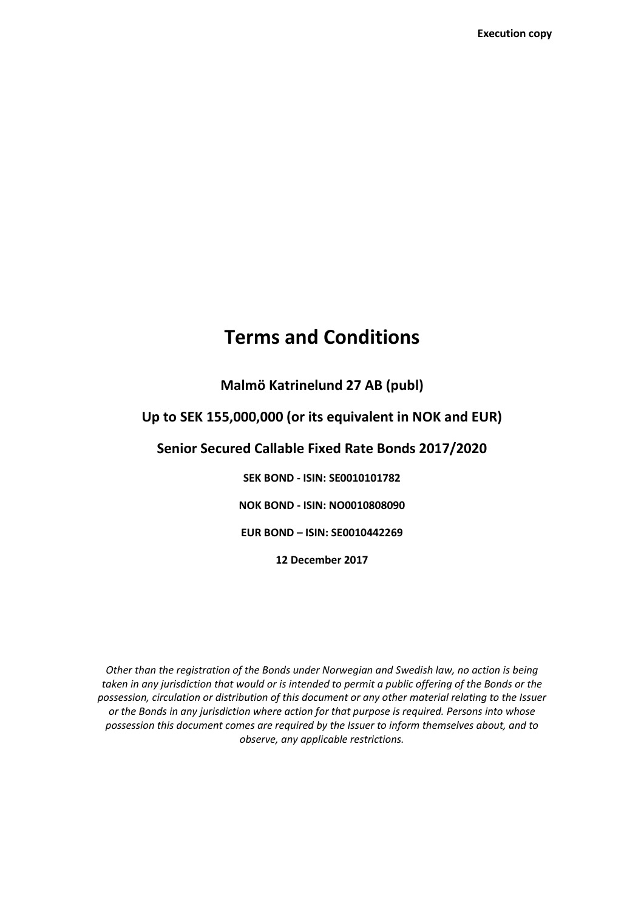# **Terms and Conditions**

**Malmö Katrinelund 27 AB (publ)**

# **Up to SEK 155,000,000 (or its equivalent in NOK and EUR)**

### **Senior Secured Callable Fixed Rate Bonds 2017/2020**

**SEK BOND - ISIN: SE0010101782 NOK BOND - ISIN: NO0010808090 EUR BOND – ISIN: SE0010442269 12 December 2017**

*Other than the registration of the Bonds under Norwegian and Swedish law, no action is being taken in any jurisdiction that would or is intended to permit a public offering of the Bonds or the possession, circulation or distribution of this document or any other material relating to the Issuer or the Bonds in any jurisdiction where action for that purpose is required. Persons into whose possession this document comes are required by the Issuer to inform themselves about, and to observe, any applicable restrictions.*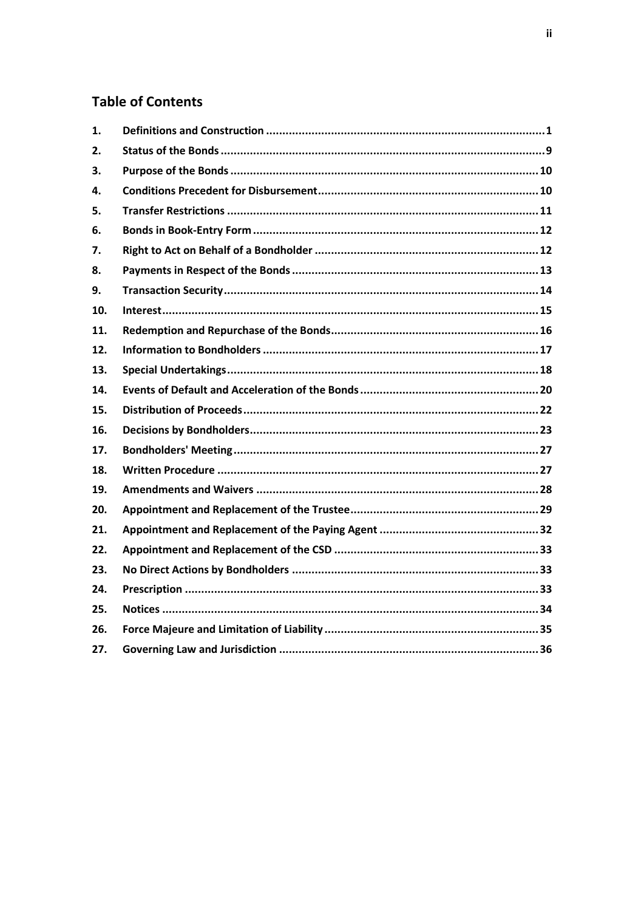# **Table of Contents**

| 1.  |  |
|-----|--|
| 2.  |  |
| З.  |  |
| 4.  |  |
| 5.  |  |
| 6.  |  |
| 7.  |  |
| 8.  |  |
| 9.  |  |
| 10. |  |
| 11. |  |
| 12. |  |
| 13. |  |
| 14. |  |
| 15. |  |
| 16. |  |
| 17. |  |
| 18. |  |
| 19. |  |
| 20. |  |
| 21. |  |
| 22. |  |
| 23. |  |
| 24. |  |
| 25. |  |
| 26. |  |
| 27. |  |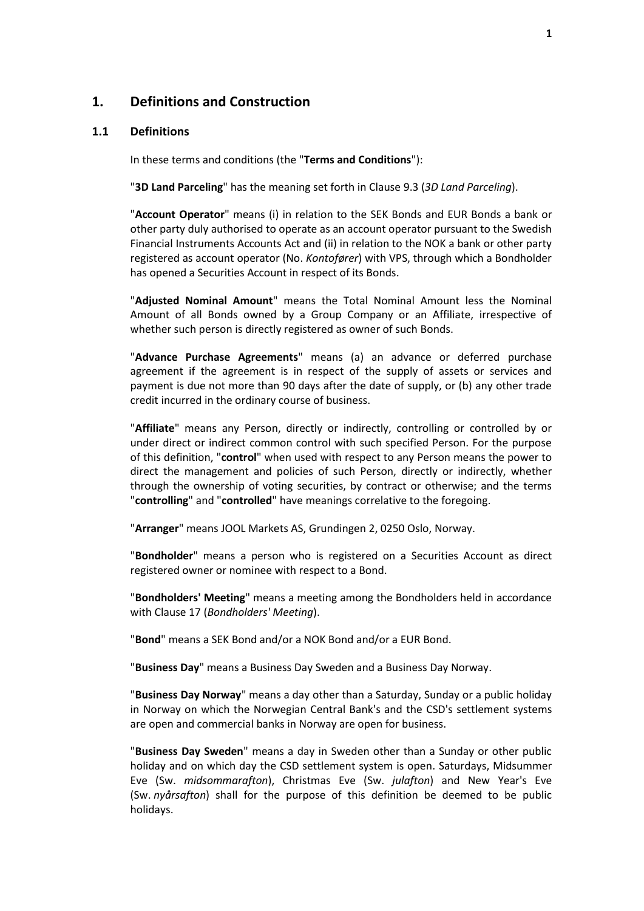### <span id="page-2-0"></span>**1. Definitions and Construction**

#### <span id="page-2-1"></span>**1.1 Definitions**

In these terms and conditions (the "**Terms and Conditions**"):

"**3D Land Parceling**" has the meaning set forth in Clause [9.3](#page-16-1) (*[3D Land Parceling](#page-16-1)*).

"**Account Operator**" means (i) in relation to the SEK Bonds and EUR Bonds a bank or other party duly authorised to operate as an account operator pursuant to the Swedish Financial Instruments Accounts Act and (ii) in relation to the NOK a bank or other party registered as account operator (No. *Kontofører*) with VPS, through which a Bondholder has opened a Securities Account in respect of its Bonds.

"**Adjusted Nominal Amount**" means the Total Nominal Amount less the Nominal Amount of all Bonds owned by a Group Company or an Affiliate, irrespective of whether such person is directly registered as owner of such Bonds.

"**Advance Purchase Agreements**" means (a) an advance or deferred purchase agreement if the agreement is in respect of the supply of assets or services and payment is due not more than 90 days after the date of supply, or (b) any other trade credit incurred in the ordinary course of business.

"**Affiliate**" means any Person, directly or indirectly, controlling or controlled by or under direct or indirect common control with such specified Person. For the purpose of this definition, "**control**" when used with respect to any Person means the power to direct the management and policies of such Person, directly or indirectly, whether through the ownership of voting securities, by contract or otherwise; and the terms "**controlling**" and "**controlled**" have meanings correlative to the foregoing.

"**Arranger**" means JOOL Markets AS, Grundingen 2, 0250 Oslo, Norway.

"**Bondholder**" means a person who is registered on a Securities Account as direct registered owner or nominee with respect to a Bond.

"**Bondholders' Meeting**" means a meeting among the Bondholders held in accordance with Clause [17](#page-28-0) (*[Bondholders'](#page-28-0) Meeting*).

"**Bond**" means a SEK Bond and/or a NOK Bond and/or a EUR Bond.

"**Business Day**" means a Business Day Sweden and a Business Day Norway.

"**Business Day Norway**" means a day other than a Saturday, Sunday or a public holiday in Norway on which the Norwegian Central Bank's and the CSD's settlement systems are open and commercial banks in Norway are open for business.

"**Business Day Sweden**" means a day in Sweden other than a Sunday or other public holiday and on which day the CSD settlement system is open. Saturdays, Midsummer Eve (Sw. *midsommarafton*), Christmas Eve (Sw. *julafton*) and New Year's Eve (Sw. *nyårsafton*) shall for the purpose of this definition be deemed to be public holidays.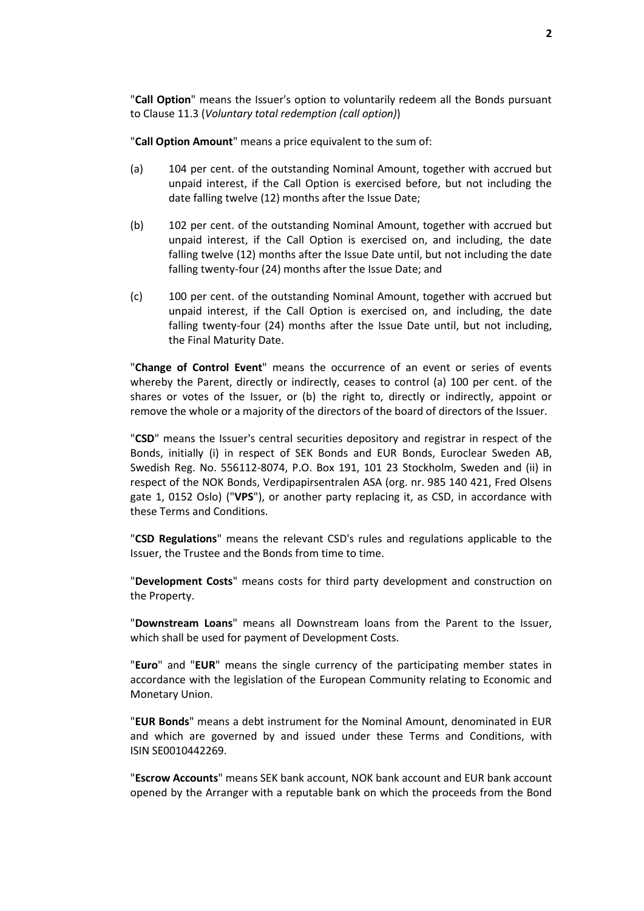"**Call Option**" means the Issuer's option to voluntarily redeem all the Bonds pursuant to Clause [11.3](#page-17-1) (*[Voluntary total redemption](#page-17-1) (call option)*)

"**Call Option Amount**" means a price equivalent to the sum of:

- (a) 104 per cent. of the outstanding Nominal Amount, together with accrued but unpaid interest, if the Call Option is exercised before, but not including the date falling twelve (12) months after the Issue Date;
- (b) 102 per cent. of the outstanding Nominal Amount, together with accrued but unpaid interest, if the Call Option is exercised on, and including, the date falling twelve (12) months after the Issue Date until, but not including the date falling twenty-four (24) months after the Issue Date; and
- (c) 100 per cent. of the outstanding Nominal Amount, together with accrued but unpaid interest, if the Call Option is exercised on, and including, the date falling twenty-four (24) months after the Issue Date until, but not including, the Final Maturity Date.

"**Change of Control Event**" means the occurrence of an event or series of events whereby the Parent, directly or indirectly, ceases to control (a) 100 per cent. of the shares or votes of the Issuer, or (b) the right to, directly or indirectly, appoint or remove the whole or a majority of the directors of the board of directors of the Issuer.

"**CSD**" means the Issuer's central securities depository and registrar in respect of the Bonds, initially (i) in respect of SEK Bonds and EUR Bonds, Euroclear Sweden AB, Swedish Reg. No. 556112-8074, P.O. Box 191, 101 23 Stockholm, Sweden and (ii) in respect of the NOK Bonds, Verdipapirsentralen ASA (org. nr. 985 140 421, Fred Olsens gate 1, 0152 Oslo) ("**VPS**"), or another party replacing it, as CSD, in accordance with these Terms and Conditions.

"**CSD Regulations**" means the relevant CSD's rules and regulations applicable to the Issuer, the Trustee and the Bonds from time to time.

"**Development Costs**" means costs for third party development and construction on the Property.

"**Downstream Loans**" means all Downstream loans from the Parent to the Issuer, which shall be used for payment of Development Costs.

"**Euro**" and "**EUR**" means the single currency of the participating member states in accordance with the legislation of the European Community relating to Economic and Monetary Union.

"**EUR Bonds**" means a debt instrument for the Nominal Amount, denominated in EUR and which are governed by and issued under these Terms and Conditions, with ISIN SE0010442269.

"**Escrow Accounts**" means SEK bank account, NOK bank account and EUR bank account opened by the Arranger with a reputable bank on which the proceeds from the Bond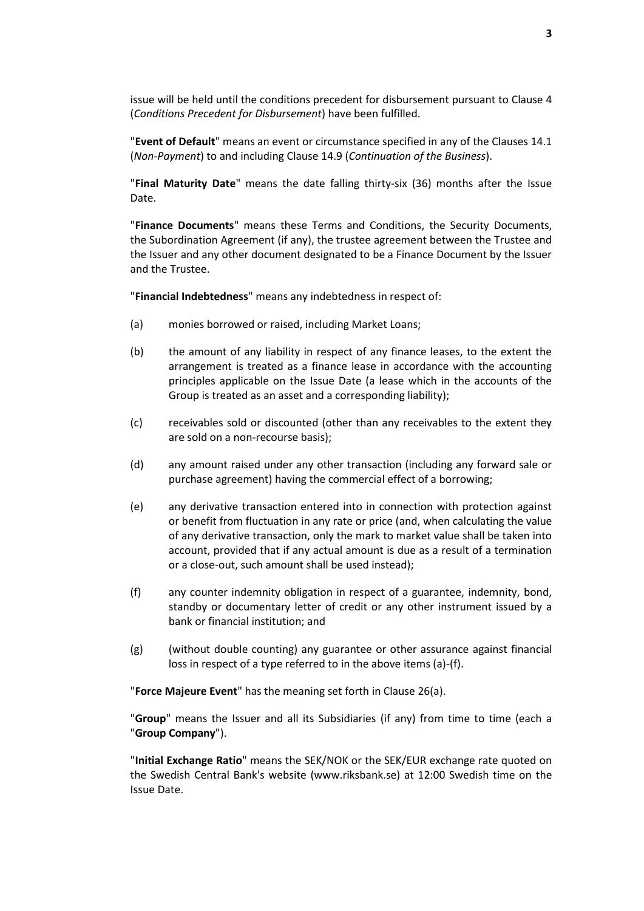issue will be held until the conditions precedent for disbursement pursuant to Claus[e 4](#page-11-1) (*[Conditions Precedent](#page-11-1) for Disbursement*) have been fulfilled.

"**Event of Default**" means an event or circumstance specified in any of the Clauses [14.1](#page-21-1) (*[Non-Payment](#page-21-1)*) to and including Clause [14.9](#page-22-0) (*[Continuation of the Business](#page-22-0)*).

"**Final Maturity Date**" means the date falling thirty-six (36) months after the Issue Date.

"**Finance Documents**" means these Terms and Conditions, the Security Documents, the Subordination Agreement (if any), the trustee agreement between the Trustee and the Issuer and any other document designated to be a Finance Document by the Issuer and the Trustee.

"**Financial Indebtedness**" means any indebtedness in respect of:

- (a) monies borrowed or raised, including Market Loans;
- (b) the amount of any liability in respect of any finance leases, to the extent the arrangement is treated as a finance lease in accordance with the accounting principles applicable on the Issue Date (a lease which in the accounts of the Group is treated as an asset and a corresponding liability);
- (c) receivables sold or discounted (other than any receivables to the extent they are sold on a non-recourse basis);
- (d) any amount raised under any other transaction (including any forward sale or purchase agreement) having the commercial effect of a borrowing;
- (e) any derivative transaction entered into in connection with protection against or benefit from fluctuation in any rate or price (and, when calculating the value of any derivative transaction, only the mark to market value shall be taken into account, provided that if any actual amount is due as a result of a termination or a close-out, such amount shall be used instead);
- (f) any counter indemnity obligation in respect of a guarantee, indemnity, bond, standby or documentary letter of credit or any other instrument issued by a bank or financial institution; and
- (g) (without double counting) any guarantee or other assurance against financial loss in respect of a type referred to in the above items (a)-(f).

"**Force Majeure Event**" has the meaning set forth in Clause [26\(a\).](#page-36-1)

"**Group**" means the Issuer and all its Subsidiaries (if any) from time to time (each a "**Group Company**").

"**Initial Exchange Ratio**" means the SEK/NOK or the SEK/EUR exchange rate quoted on the Swedish Central Bank's website (www.riksbank.se) at 12:00 Swedish time on the Issue Date.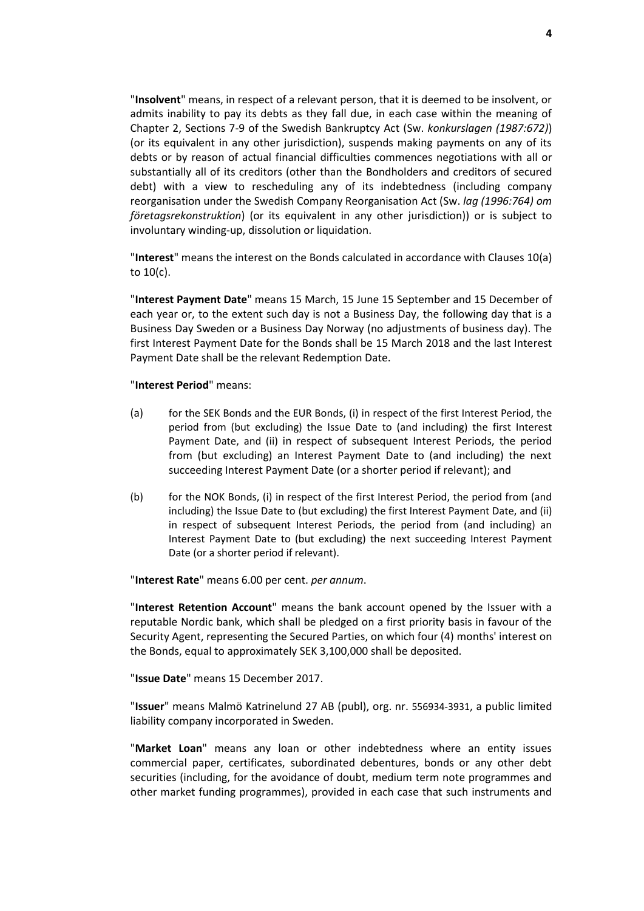"**Insolvent**" means, in respect of a relevant person, that it is deemed to be insolvent, or admits inability to pay its debts as they fall due, in each case within the meaning of Chapter 2, Sections 7-9 of the Swedish Bankruptcy Act (Sw. *konkurslagen (1987:672)*) (or its equivalent in any other jurisdiction), suspends making payments on any of its debts or by reason of actual financial difficulties commences negotiations with all or substantially all of its creditors (other than the Bondholders and creditors of secured debt) with a view to rescheduling any of its indebtedness (including company reorganisation under the Swedish Company Reorganisation Act (Sw. *lag (1996:764) om företagsrekonstruktion*) (or its equivalent in any other jurisdiction)) or is subject to involuntary winding-up, dissolution or liquidation.

"**Interest**" means the interest on the Bonds calculated in accordance with Clauses [10\(a\)](#page-16-2) t[o 10\(c\).](#page-16-3)

"**Interest Payment Date**" means 15 March, 15 June 15 September and 15 December of each year or, to the extent such day is not a Business Day, the following day that is a Business Day Sweden or a Business Day Norway (no adjustments of business day). The first Interest Payment Date for the Bonds shall be 15 March 2018 and the last Interest Payment Date shall be the relevant Redemption Date.

#### "**Interest Period**" means:

- (a) for the SEK Bonds and the EUR Bonds, (i) in respect of the first Interest Period, the period from (but excluding) the Issue Date to (and including) the first Interest Payment Date, and (ii) in respect of subsequent Interest Periods, the period from (but excluding) an Interest Payment Date to (and including) the next succeeding Interest Payment Date (or a shorter period if relevant); and
- (b) for the NOK Bonds, (i) in respect of the first Interest Period, the period from (and including) the Issue Date to (but excluding) the first Interest Payment Date, and (ii) in respect of subsequent Interest Periods, the period from (and including) an Interest Payment Date to (but excluding) the next succeeding Interest Payment Date (or a shorter period if relevant).

"**Interest Rate**" means 6.00 per cent. *per annum*.

"**Interest Retention Account**" means the bank account opened by the Issuer with a reputable Nordic bank, which shall be pledged on a first priority basis in favour of the Security Agent, representing the Secured Parties, on which four (4) months' interest on the Bonds, equal to approximately SEK 3,100,000 shall be deposited.

"**Issue Date**" means 15 December 2017.

"**Issuer**" means Malmö Katrinelund 27 AB (publ), org. nr. 556934-3931, a public limited liability company incorporated in Sweden.

"**Market Loan**" means any loan or other indebtedness where an entity issues commercial paper, certificates, subordinated debentures, bonds or any other debt securities (including, for the avoidance of doubt, medium term note programmes and other market funding programmes), provided in each case that such instruments and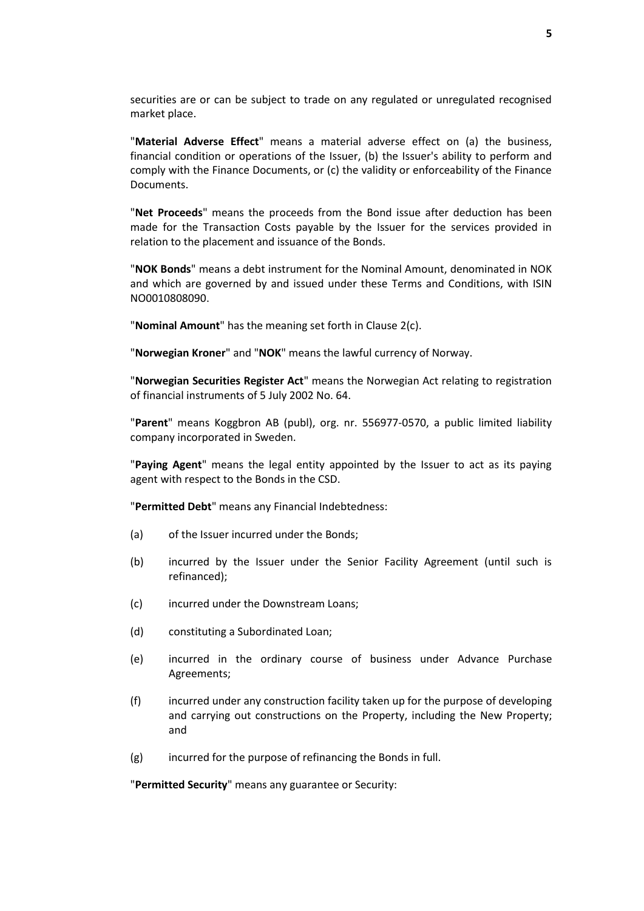securities are or can be subject to trade on any regulated or unregulated recognised market place.

"**Material Adverse Effect**" means a material adverse effect on (a) the business, financial condition or operations of the Issuer, (b) the Issuer's ability to perform and comply with the Finance Documents, or (c) the validity or enforceability of the Finance Documents.

"**Net Proceeds**" means the proceeds from the Bond issue after deduction has been made for the Transaction Costs payable by the Issuer for the services provided in relation to the placement and issuance of the Bonds.

"**NOK Bonds**" means a debt instrument for the Nominal Amount, denominated in NOK and which are governed by and issued under these Terms and Conditions, with ISIN NO0010808090.

"**Nominal Amount**" has the meaning set forth in Clause [2\(c\).](#page-10-1)

"**Norwegian Kroner**" and "**NOK**" means the lawful currency of Norway.

"**Norwegian Securities Register Act**" means the Norwegian Act relating to registration of financial instruments of 5 July 2002 No. 64.

"**Parent**" means Koggbron AB (publ), org. nr. 556977-0570, a public limited liability company incorporated in Sweden.

"**Paying Agent**" means the legal entity appointed by the Issuer to act as its paying agent with respect to the Bonds in the CSD.

"**Permitted Debt**" means any Financial Indebtedness:

- (a) of the Issuer incurred under the Bonds;
- (b) incurred by the Issuer under the Senior Facility Agreement (until such is refinanced);
- (c) incurred under the Downstream Loans;
- (d) constituting a Subordinated Loan;
- (e) incurred in the ordinary course of business under Advance Purchase Agreements;
- (f) incurred under any construction facility taken up for the purpose of developing and carrying out constructions on the Property, including the New Property; and
- (g) incurred for the purpose of refinancing the Bonds in full.

"**Permitted Security**" means any guarantee or Security: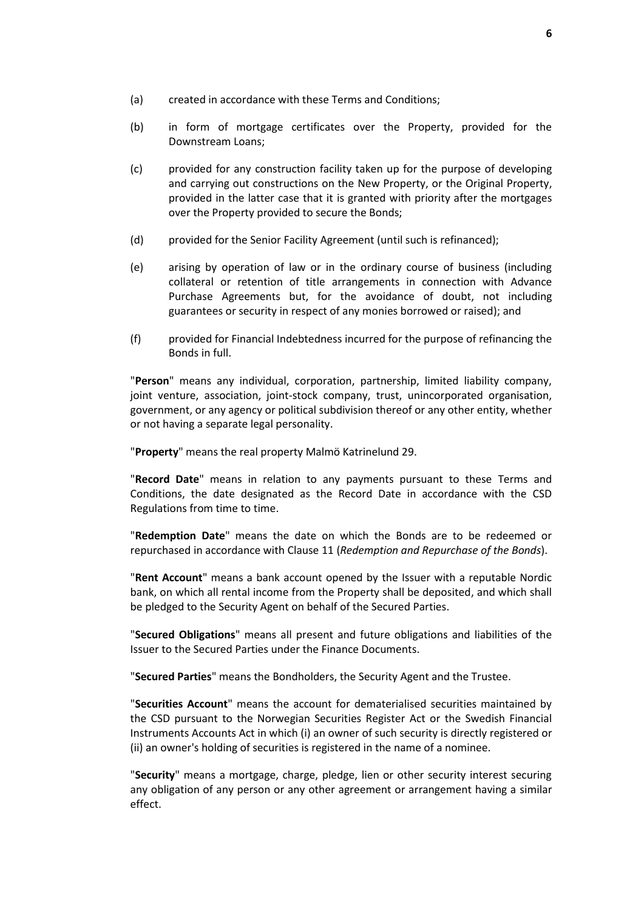- (a) created in accordance with these Terms and Conditions;
- (b) in form of mortgage certificates over the Property, provided for the Downstream Loans;
- (c) provided for any construction facility taken up for the purpose of developing and carrying out constructions on the New Property, or the Original Property, provided in the latter case that it is granted with priority after the mortgages over the Property provided to secure the Bonds;
- (d) provided for the Senior Facility Agreement (until such is refinanced);
- (e) arising by operation of law or in the ordinary course of business (including collateral or retention of title arrangements in connection with Advance Purchase Agreements but, for the avoidance of doubt, not including guarantees or security in respect of any monies borrowed or raised); and
- (f) provided for Financial Indebtedness incurred for the purpose of refinancing the Bonds in full.

"**Person**" means any individual, corporation, partnership, limited liability company, joint venture, association, joint-stock company, trust, unincorporated organisation, government, or any agency or political subdivision thereof or any other entity, whether or not having a separate legal personality.

"**Property**" means the real property Malmö Katrinelund 29.

"**Record Date**" means in relation to any payments pursuant to these Terms and Conditions, the date designated as the Record Date in accordance with the CSD Regulations from time to time.

"**Redemption Date**" means the date on which the Bonds are to be redeemed or repurchased in accordance with Clause [11](#page-17-0) (*[Redemption and Repurchase of the Bonds](#page-17-0)*).

"**Rent Account**" means a bank account opened by the Issuer with a reputable Nordic bank, on which all rental income from the Property shall be deposited, and which shall be pledged to the Security Agent on behalf of the Secured Parties.

"**Secured Obligations**" means all present and future obligations and liabilities of the Issuer to the Secured Parties under the Finance Documents.

"**Secured Parties**" means the Bondholders, the Security Agent and the Trustee.

"**Securities Account**" means the account for dematerialised securities maintained by the CSD pursuant to the Norwegian Securities Register Act or the Swedish Financial Instruments Accounts Act in which (i) an owner of such security is directly registered or (ii) an owner's holding of securities is registered in the name of a nominee.

"**Security**" means a mortgage, charge, pledge, lien or other security interest securing any obligation of any person or any other agreement or arrangement having a similar effect.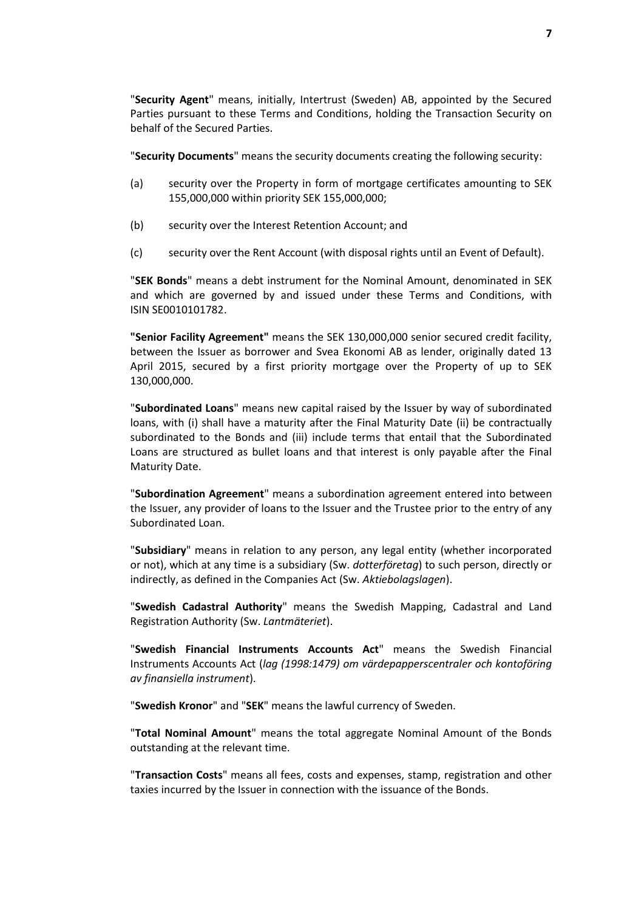"**Security Agent**" means, initially, Intertrust (Sweden) AB, appointed by the Secured Parties pursuant to these Terms and Conditions, holding the Transaction Security on behalf of the Secured Parties.

"**Security Documents**" means the security documents creating the following security:

- (a) security over the Property in form of mortgage certificates amounting to SEK 155,000,000 within priority SEK 155,000,000;
- (b) security over the Interest Retention Account; and
- (c) security over the Rent Account (with disposal rights until an Event of Default).

"**SEK Bonds**" means a debt instrument for the Nominal Amount, denominated in SEK and which are governed by and issued under these Terms and Conditions, with ISIN SE0010101782.

**"Senior Facility Agreement"** means the SEK 130,000,000 senior secured credit facility, between the Issuer as borrower and Svea Ekonomi AB as lender, originally dated 13 April 2015, secured by a first priority mortgage over the Property of up to SEK 130,000,000.

"**Subordinated Loans**" means new capital raised by the Issuer by way of subordinated loans, with (i) shall have a maturity after the Final Maturity Date (ii) be contractually subordinated to the Bonds and (iii) include terms that entail that the Subordinated Loans are structured as bullet loans and that interest is only payable after the Final Maturity Date.

"**Subordination Agreement**" means a subordination agreement entered into between the Issuer, any provider of loans to the Issuer and the Trustee prior to the entry of any Subordinated Loan.

"**Subsidiary**" means in relation to any person, any legal entity (whether incorporated or not), which at any time is a subsidiary (Sw. *dotterföretag*) to such person, directly or indirectly, as defined in the Companies Act (Sw. *Aktiebolagslagen*).

"**Swedish Cadastral Authority**" means the Swedish Mapping, Cadastral and Land Registration Authority (Sw. *Lantmäteriet*).

"**Swedish Financial Instruments Accounts Act**" means the Swedish Financial Instruments Accounts Act (*lag (1998:1479) om värdepapperscentraler och kontoföring av finansiella instrument*).

"**Swedish Kronor**" and "**SEK**" means the lawful currency of Sweden.

"**Total Nominal Amount**" means the total aggregate Nominal Amount of the Bonds outstanding at the relevant time.

"**Transaction Costs**" means all fees, costs and expenses, stamp, registration and other taxies incurred by the Issuer in connection with the issuance of the Bonds.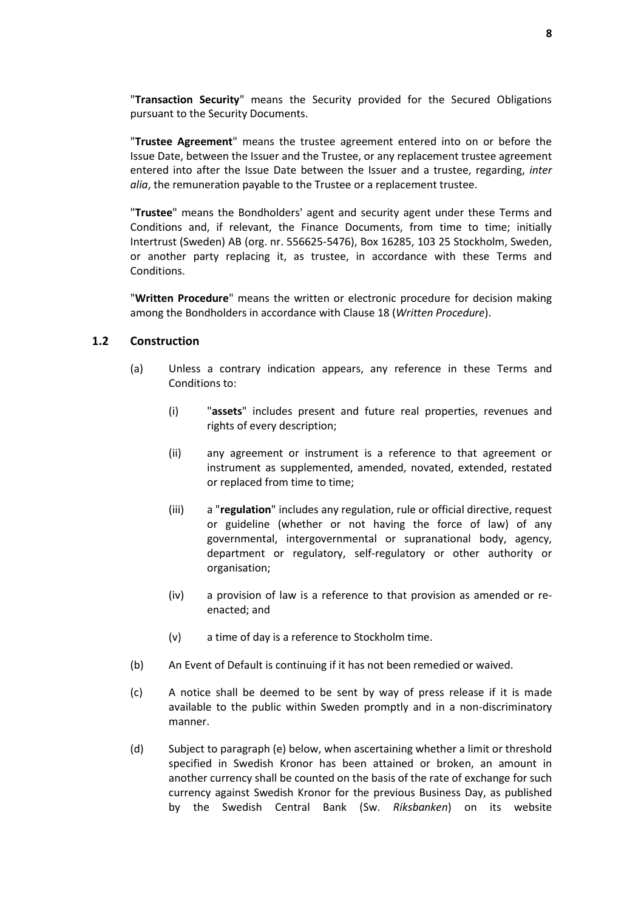"**Transaction Security**" means the Security provided for the Secured Obligations pursuant to the Security Documents.

"**Trustee Agreement**" means the trustee agreement entered into on or before the Issue Date, between the Issuer and the Trustee, or any replacement trustee agreement entered into after the Issue Date between the Issuer and a trustee, regarding, *inter alia*, the remuneration payable to the Trustee or a replacement trustee.

"**Trustee**" means the Bondholders' agent and security agent under these Terms and Conditions and, if relevant, the Finance Documents, from time to time; initially Intertrust (Sweden) AB (org. nr. 556625-5476), Box 16285, 103 25 Stockholm, Sweden, or another party replacing it, as trustee, in accordance with these Terms and Conditions.

"**Written Procedure**" means the written or electronic procedure for decision making among the Bondholders in accordance with Clause [18](#page-28-1) (*[Written Procedure](#page-28-1)*).

#### **1.2 Construction**

- (a) Unless a contrary indication appears, any reference in these Terms and Conditions to:
	- (i) "**assets**" includes present and future real properties, revenues and rights of every description;
	- (ii) any agreement or instrument is a reference to that agreement or instrument as supplemented, amended, novated, extended, restated or replaced from time to time;
	- (iii) a "**regulation**" includes any regulation, rule or official directive, request or guideline (whether or not having the force of law) of any governmental, intergovernmental or supranational body, agency, department or regulatory, self-regulatory or other authority or organisation;
	- (iv) a provision of law is a reference to that provision as amended or reenacted; and
	- (v) a time of day is a reference to Stockholm time.
- (b) An Event of Default is continuing if it has not been remedied or waived.
- (c) A notice shall be deemed to be sent by way of press release if it is made available to the public within Sweden promptly and in a non-discriminatory manner.
- (d) Subject to paragraph (e) below, when ascertaining whether a limit or threshold specified in Swedish Kronor has been attained or broken, an amount in another currency shall be counted on the basis of the rate of exchange for such currency against Swedish Kronor for the previous Business Day, as published by the Swedish Central Bank (Sw. *Riksbanken*) on its website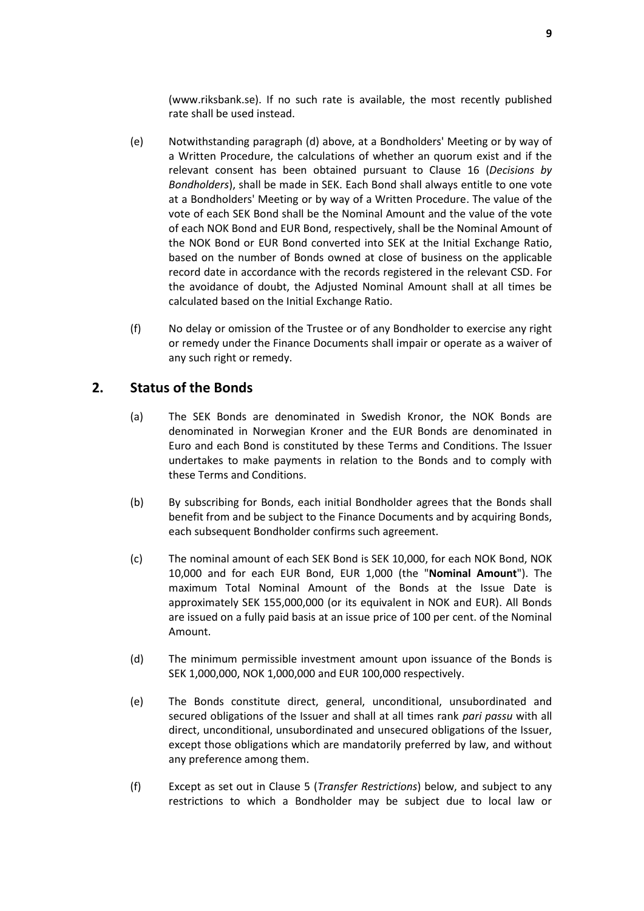(www.riksbank.se). If no such rate is available, the most recently published rate shall be used instead.

- (e) Notwithstanding paragraph (d) above, at a Bondholders' Meeting or by way of a Written Procedure, the calculations of whether an quorum exist and if the relevant consent has been obtained pursuant to Clause [16](#page-24-0) (*Decisions by Bondholders*), shall be made in SEK. Each Bond shall always entitle to one vote at a Bondholders' Meeting or by way of a Written Procedure. The value of the vote of each SEK Bond shall be the Nominal Amount and the value of the vote of each NOK Bond and EUR Bond, respectively, shall be the Nominal Amount of the NOK Bond or EUR Bond converted into SEK at the Initial Exchange Ratio, based on the number of Bonds owned at close of business on the applicable record date in accordance with the records registered in the relevant CSD. For the avoidance of doubt, the Adjusted Nominal Amount shall at all times be calculated based on the Initial Exchange Ratio.
- (f) No delay or omission of the Trustee or of any Bondholder to exercise any right or remedy under the Finance Documents shall impair or operate as a waiver of any such right or remedy.

# <span id="page-10-2"></span><span id="page-10-0"></span>**2. Status of the Bonds**

- (a) The SEK Bonds are denominated in Swedish Kronor, the NOK Bonds are denominated in Norwegian Kroner and the EUR Bonds are denominated in Euro and each Bond is constituted by these Terms and Conditions. The Issuer undertakes to make payments in relation to the Bonds and to comply with these Terms and Conditions.
- (b) By subscribing for Bonds, each initial Bondholder agrees that the Bonds shall benefit from and be subject to the Finance Documents and by acquiring Bonds, each subsequent Bondholder confirms such agreement.
- <span id="page-10-1"></span>(c) The nominal amount of each SEK Bond is SEK 10,000, for each NOK Bond, NOK 10,000 and for each EUR Bond, EUR 1,000 (the "**Nominal Amount**"). The maximum Total Nominal Amount of the Bonds at the Issue Date is approximately SEK 155,000,000 (or its equivalent in NOK and EUR). All Bonds are issued on a fully paid basis at an issue price of 100 per cent. of the Nominal Amount.
- (d) The minimum permissible investment amount upon issuance of the Bonds is SEK 1,000,000, NOK 1,000,000 and EUR 100,000 respectively.
- <span id="page-10-3"></span>(e) The Bonds constitute direct, general, unconditional, unsubordinated and secured obligations of the Issuer and shall at all times rank *pari passu* with all direct, unconditional, unsubordinated and unsecured obligations of the Issuer, except those obligations which are mandatorily preferred by law, and without any preference among them.
- (f) Except as set out in Clause [5](#page-12-0) (*Transfer [Restrictions](#page-12-0)*) below, and subject to any restrictions to which a Bondholder may be subject due to local law or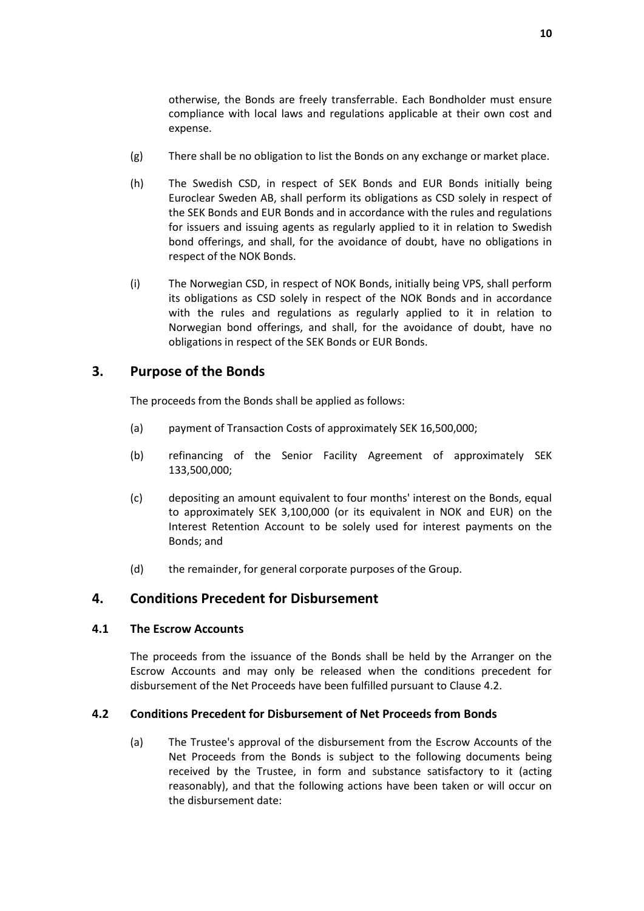otherwise, the Bonds are freely transferrable. Each Bondholder must ensure compliance with local laws and regulations applicable at their own cost and expense.

- (g) There shall be no obligation to list the Bonds on any exchange or market place.
- (h) The Swedish CSD, in respect of SEK Bonds and EUR Bonds initially being Euroclear Sweden AB, shall perform its obligations as CSD solely in respect of the SEK Bonds and EUR Bonds and in accordance with the rules and regulations for issuers and issuing agents as regularly applied to it in relation to Swedish bond offerings, and shall, for the avoidance of doubt, have no obligations in respect of the NOK Bonds.
- (i) The Norwegian CSD, in respect of NOK Bonds, initially being VPS, shall perform its obligations as CSD solely in respect of the NOK Bonds and in accordance with the rules and regulations as regularly applied to it in relation to Norwegian bond offerings, and shall, for the avoidance of doubt, have no obligations in respect of the SEK Bonds or EUR Bonds.

### <span id="page-11-0"></span>**3. Purpose of the Bonds**

The proceeds from the Bonds shall be applied as follows:

- (a) payment of Transaction Costs of approximately SEK 16,500,000;
- (b) refinancing of the Senior Facility Agreement of approximately SEK 133,500,000;
- (c) depositing an amount equivalent to four months' interest on the Bonds, equal to approximately SEK 3,100,000 (or its equivalent in NOK and EUR) on the Interest Retention Account to be solely used for interest payments on the Bonds; and
- (d) the remainder, for general corporate purposes of the Group.

#### <span id="page-11-1"></span>**4. Conditions Precedent for Disbursement**

#### **4.1 The Escrow Accounts**

The proceeds from the issuance of the Bonds shall be held by the Arranger on the Escrow Accounts and may only be released when the conditions precedent for disbursement of the Net Proceeds have been fulfilled pursuant to Clause 4.2.

#### <span id="page-11-2"></span>**4.2 Conditions Precedent for Disbursement of Net Proceeds from Bonds**

(a) The Trustee's approval of the disbursement from the Escrow Accounts of the Net Proceeds from the Bonds is subject to the following documents being received by the Trustee, in form and substance satisfactory to it (acting reasonably), and that the following actions have been taken or will occur on the disbursement date: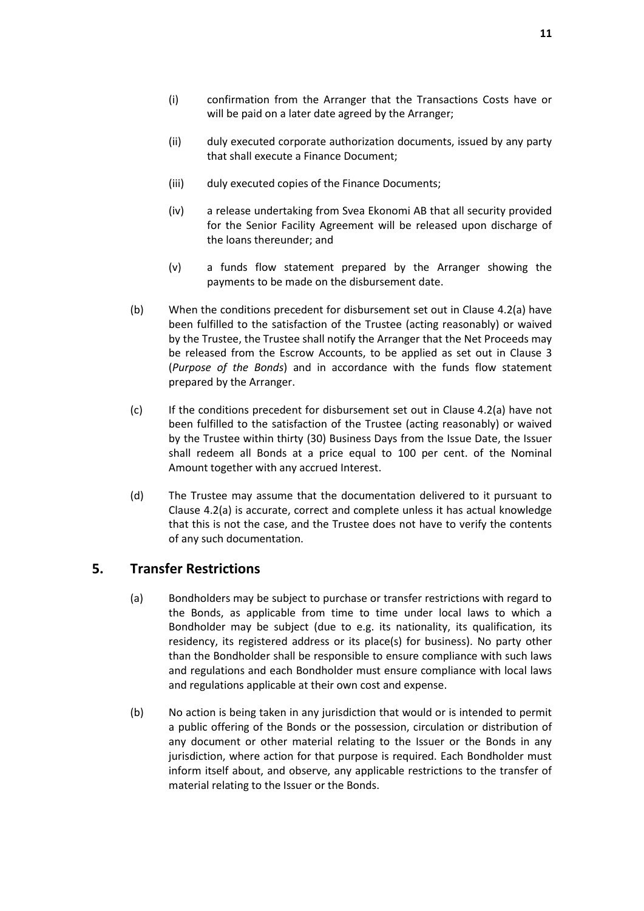- (i) confirmation from the Arranger that the Transactions Costs have or will be paid on a later date agreed by the Arranger;
- (ii) duly executed corporate authorization documents, issued by any party that shall execute a Finance Document;
- (iii) duly executed copies of the Finance Documents;
- (iv) a release undertaking from Svea Ekonomi AB that all security provided for the Senior Facility Agreement will be released upon discharge of the loans thereunder; and
- (v) a funds flow statement prepared by the Arranger showing the payments to be made on the disbursement date.
- (b) When the conditions precedent for disbursement set out in Clause [4.2\(a\)](#page-11-2) have been fulfilled to the satisfaction of the Trustee (acting reasonably) or waived by the Trustee, the Trustee shall notify the Arranger that the Net Proceeds may be released from the Escrow Accounts, to be applied as set out in Clause [3](#page-11-0) (*[Purpose of the Bonds](#page-11-0)*) and in accordance with the funds flow statement prepared by the Arranger.
- (c) If the conditions precedent for disbursement set out in Clause [4.2\(a\)](#page-11-2) have not been fulfilled to the satisfaction of the Trustee (acting reasonably) or waived by the Trustee within thirty (30) Business Days from the Issue Date, the Issuer shall redeem all Bonds at a price equal to 100 per cent. of the Nominal Amount together with any accrued Interest.
- (d) The Trustee may assume that the documentation delivered to it pursuant to Clause [4.2\(a\)](#page-11-2) is accurate, correct and complete unless it has actual knowledge that this is not the case, and the Trustee does not have to verify the contents of any such documentation.

# <span id="page-12-0"></span>**5. Transfer Restrictions**

- (a) Bondholders may be subject to purchase or transfer restrictions with regard to the Bonds, as applicable from time to time under local laws to which a Bondholder may be subject (due to e.g. its nationality, its qualification, its residency, its registered address or its place(s) for business). No party other than the Bondholder shall be responsible to ensure compliance with such laws and regulations and each Bondholder must ensure compliance with local laws and regulations applicable at their own cost and expense.
- <span id="page-12-1"></span>(b) No action is being taken in any jurisdiction that would or is intended to permit a public offering of the Bonds or the possession, circulation or distribution of any document or other material relating to the Issuer or the Bonds in any jurisdiction, where action for that purpose is required. Each Bondholder must inform itself about, and observe, any applicable restrictions to the transfer of material relating to the Issuer or the Bonds.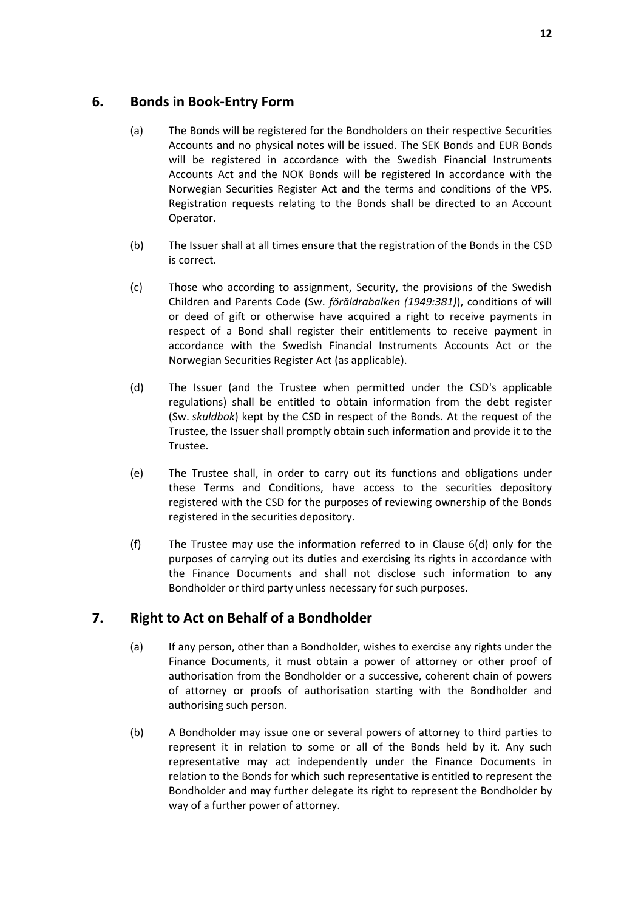# <span id="page-13-0"></span>**6. Bonds in Book-Entry Form**

- (a) The Bonds will be registered for the Bondholders on their respective Securities Accounts and no physical notes will be issued. The SEK Bonds and EUR Bonds will be registered in accordance with the Swedish Financial Instruments Accounts Act and the NOK Bonds will be registered In accordance with the Norwegian Securities Register Act and the terms and conditions of the VPS. Registration requests relating to the Bonds shall be directed to an Account Operator.
- (b) The Issuer shall at all times ensure that the registration of the Bonds in the CSD is correct.
- (c) Those who according to assignment, Security, the provisions of the Swedish Children and Parents Code (Sw. *föräldrabalken (1949:381)*), conditions of will or deed of gift or otherwise have acquired a right to receive payments in respect of a Bond shall register their entitlements to receive payment in accordance with the Swedish Financial Instruments Accounts Act or the Norwegian Securities Register Act (as applicable).
- <span id="page-13-2"></span>(d) The Issuer (and the Trustee when permitted under the CSD's applicable regulations) shall be entitled to obtain information from the debt register (Sw. *skuldbok*) kept by the CSD in respect of the Bonds. At the request of the Trustee, the Issuer shall promptly obtain such information and provide it to the Trustee.
- (e) The Trustee shall, in order to carry out its functions and obligations under these Terms and Conditions, have access to the securities depository registered with the CSD for the purposes of reviewing ownership of the Bonds registered in the securities depository.
- (f) The Trustee may use the information referred to in Clause [6\(d\)](#page-13-2) only for the purposes of carrying out its duties and exercising its rights in accordance with the Finance Documents and shall not disclose such information to any Bondholder or third party unless necessary for such purposes.

# <span id="page-13-1"></span>**7. Right to Act on Behalf of a Bondholder**

- (a) If any person, other than a Bondholder, wishes to exercise any rights under the Finance Documents, it must obtain a power of attorney or other proof of authorisation from the Bondholder or a successive, coherent chain of powers of attorney or proofs of authorisation starting with the Bondholder and authorising such person.
- <span id="page-13-3"></span>(b) A Bondholder may issue one or several powers of attorney to third parties to represent it in relation to some or all of the Bonds held by it. Any such representative may act independently under the Finance Documents in relation to the Bonds for which such representative is entitled to represent the Bondholder and may further delegate its right to represent the Bondholder by way of a further power of attorney.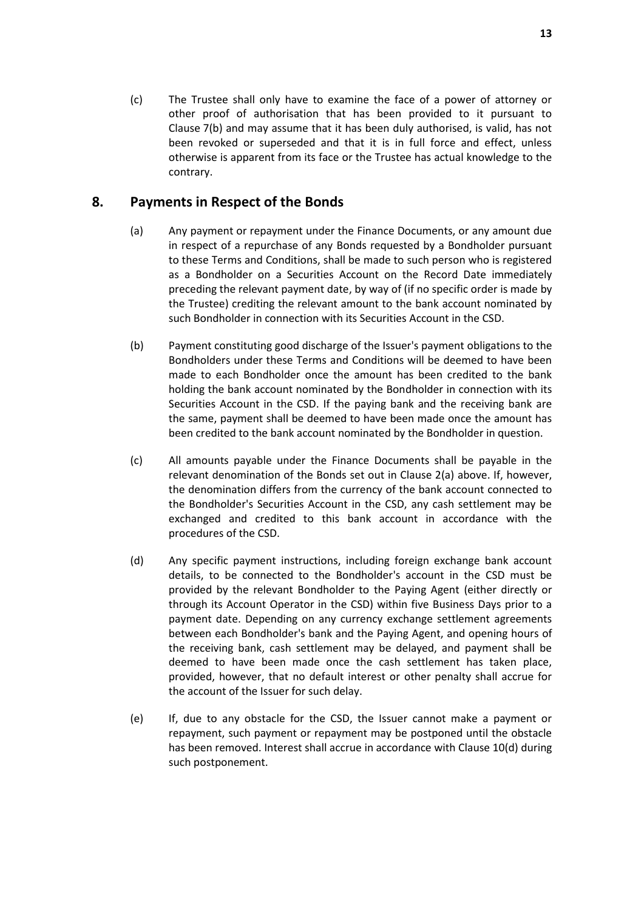(c) The Trustee shall only have to examine the face of a power of attorney or other proof of authorisation that has been provided to it pursuant to Clause [7\(b\)](#page-13-3) and may assume that it has been duly authorised, is valid, has not been revoked or superseded and that it is in full force and effect, unless otherwise is apparent from its face or the Trustee has actual knowledge to the contrary.

# <span id="page-14-0"></span>**8. Payments in Respect of the Bonds**

- (a) Any payment or repayment under the Finance Documents, or any amount due in respect of a repurchase of any Bonds requested by a Bondholder pursuant to these Terms and Conditions, shall be made to such person who is registered as a Bondholder on a Securities Account on the Record Date immediately preceding the relevant payment date, by way of (if no specific order is made by the Trustee) crediting the relevant amount to the bank account nominated by such Bondholder in connection with its Securities Account in the CSD.
- (b) Payment constituting good discharge of the Issuer's payment obligations to the Bondholders under these Terms and Conditions will be deemed to have been made to each Bondholder once the amount has been credited to the bank holding the bank account nominated by the Bondholder in connection with its Securities Account in the CSD. If the paying bank and the receiving bank are the same, payment shall be deemed to have been made once the amount has been credited to the bank account nominated by the Bondholder in question.
- (c) All amounts payable under the Finance Documents shall be payable in the relevant denomination of the Bonds set out in Clause [2\(a\)](#page-10-2) above. If, however, the denomination differs from the currency of the bank account connected to the Bondholder's Securities Account in the CSD, any cash settlement may be exchanged and credited to this bank account in accordance with the procedures of the CSD.
- (d) Any specific payment instructions, including foreign exchange bank account details, to be connected to the Bondholder's account in the CSD must be provided by the relevant Bondholder to the Paying Agent (either directly or through its Account Operator in the CSD) within five Business Days prior to a payment date. Depending on any currency exchange settlement agreements between each Bondholder's bank and the Paying Agent, and opening hours of the receiving bank, cash settlement may be delayed, and payment shall be deemed to have been made once the cash settlement has taken place, provided, however, that no default interest or other penalty shall accrue for the account of the Issuer for such delay.
- (e) If, due to any obstacle for the CSD, the Issuer cannot make a payment or repayment, such payment or repayment may be postponed until the obstacle has been removed. Interest shall accrue in accordance with Clause [10\(d\)](#page-16-4) during such postponement.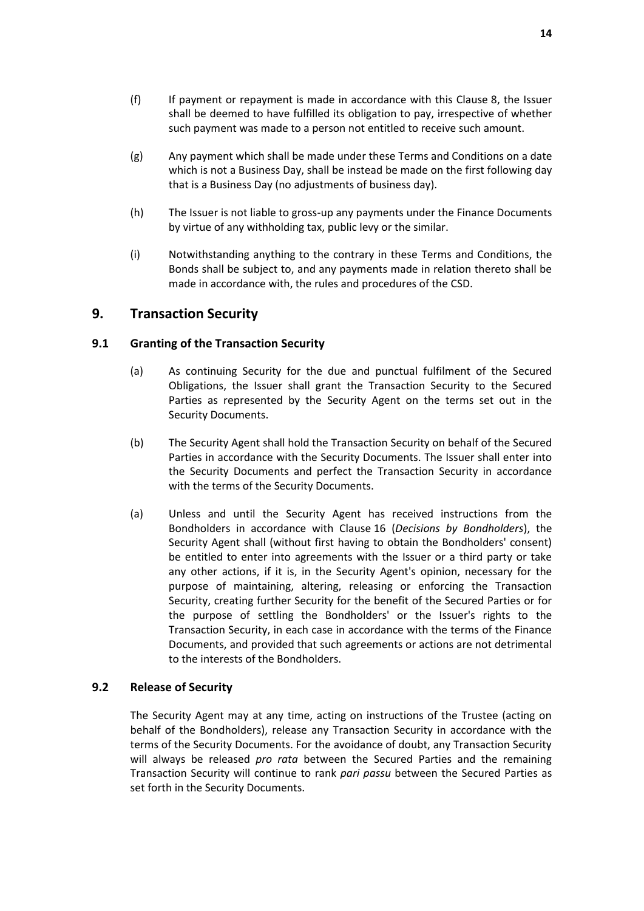- (g) Any payment which shall be made under these Terms and Conditions on a date which is not a Business Day, shall be instead be made on the first following day that is a Business Day (no adjustments of business day).
- (h) The Issuer is not liable to gross-up any payments under the Finance Documents by virtue of any withholding tax, public levy or the similar.
- (i) Notwithstanding anything to the contrary in these Terms and Conditions, the Bonds shall be subject to, and any payments made in relation thereto shall be made in accordance with, the rules and procedures of the CSD.

# <span id="page-15-0"></span>**9. Transaction Security**

#### **9.1 Granting of the Transaction Security**

- (a) As continuing Security for the due and punctual fulfilment of the Secured Obligations, the Issuer shall grant the Transaction Security to the Secured Parties as represented by the Security Agent on the terms set out in the Security Documents.
- (b) The Security Agent shall hold the Transaction Security on behalf of the Secured Parties in accordance with the Security Documents. The Issuer shall enter into the Security Documents and perfect the Transaction Security in accordance with the terms of the Security Documents.
- (a) Unless and until the Security Agent has received instructions from the Bondholders in accordance with Clause [16](#page-24-0) (*[Decisions by Bondholders](#page-24-0)*), the Security Agent shall (without first having to obtain the Bondholders' consent) be entitled to enter into agreements with the Issuer or a third party or take any other actions, if it is, in the Security Agent's opinion, necessary for the purpose of maintaining, altering, releasing or enforcing the Transaction Security, creating further Security for the benefit of the Secured Parties or for the purpose of settling the Bondholders' or the Issuer's rights to the Transaction Security, in each case in accordance with the terms of the Finance Documents, and provided that such agreements or actions are not detrimental to the interests of the Bondholders.

#### **9.2 Release of Security**

The Security Agent may at any time, acting on instructions of the Trustee (acting on behalf of the Bondholders), release any Transaction Security in accordance with the terms of the Security Documents. For the avoidance of doubt, any Transaction Security will always be released *pro rata* between the Secured Parties and the remaining Transaction Security will continue to rank *pari passu* between the Secured Parties as set forth in the Security Documents.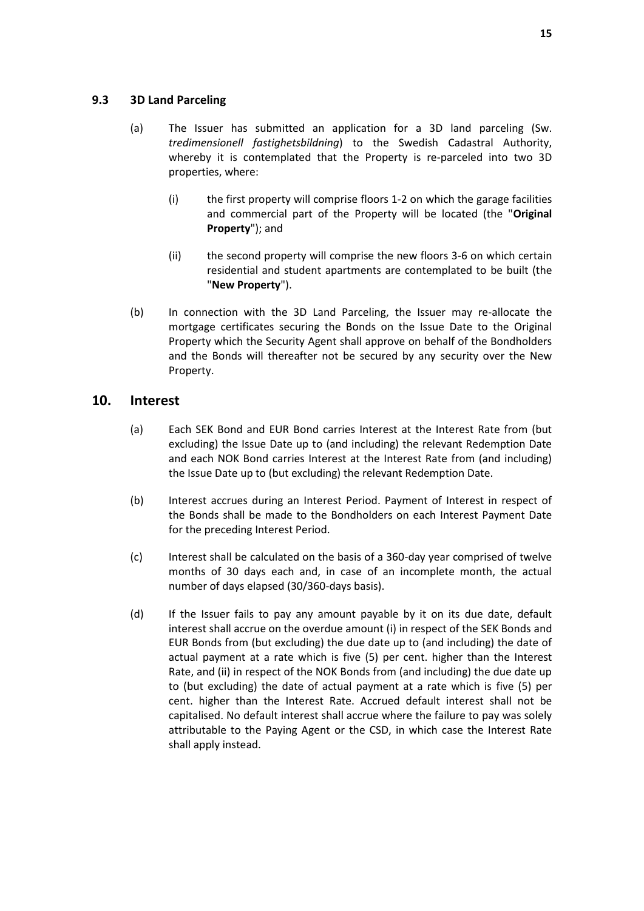#### <span id="page-16-1"></span>**9.3 3D Land Parceling**

- (a) The Issuer has submitted an application for a 3D land parceling (Sw. *tredimensionell fastighetsbildning*) to the Swedish Cadastral Authority, whereby it is contemplated that the Property is re-parceled into two 3D properties, where:
	- (i) the first property will comprise floors 1-2 on which the garage facilities and commercial part of the Property will be located (the "**Original Property**"); and
	- (ii) the second property will comprise the new floors 3-6 on which certain residential and student apartments are contemplated to be built (the "**New Property**").
- (b) In connection with the 3D Land Parceling, the Issuer may re-allocate the mortgage certificates securing the Bonds on the Issue Date to the Original Property which the Security Agent shall approve on behalf of the Bondholders and the Bonds will thereafter not be secured by any security over the New Property.

### <span id="page-16-2"></span><span id="page-16-0"></span>**10. Interest**

- (a) Each SEK Bond and EUR Bond carries Interest at the Interest Rate from (but excluding) the Issue Date up to (and including) the relevant Redemption Date and each NOK Bond carries Interest at the Interest Rate from (and including) the Issue Date up to (but excluding) the relevant Redemption Date.
- (b) Interest accrues during an Interest Period. Payment of Interest in respect of the Bonds shall be made to the Bondholders on each Interest Payment Date for the preceding Interest Period.
- <span id="page-16-3"></span>(c) Interest shall be calculated on the basis of a 360-day year comprised of twelve months of 30 days each and, in case of an incomplete month, the actual number of days elapsed (30/360-days basis).
- <span id="page-16-4"></span>(d) If the Issuer fails to pay any amount payable by it on its due date, default interest shall accrue on the overdue amount (i) in respect of the SEK Bonds and EUR Bonds from (but excluding) the due date up to (and including) the date of actual payment at a rate which is five (5) per cent. higher than the Interest Rate, and (ii) in respect of the NOK Bonds from (and including) the due date up to (but excluding) the date of actual payment at a rate which is five (5) per cent. higher than the Interest Rate. Accrued default interest shall not be capitalised. No default interest shall accrue where the failure to pay was solely attributable to the Paying Agent or the CSD, in which case the Interest Rate shall apply instead.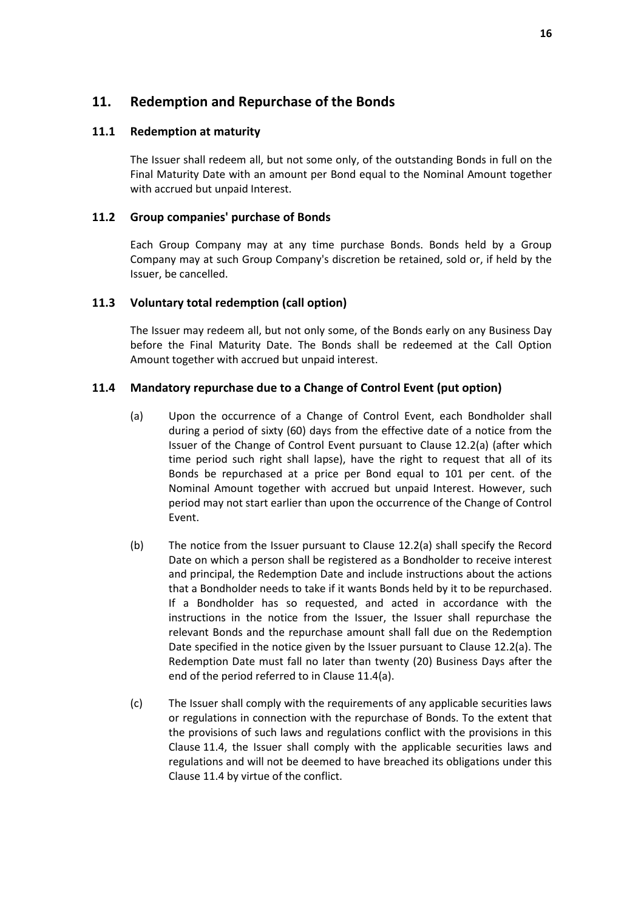# <span id="page-17-0"></span>**11. Redemption and Repurchase of the Bonds**

#### **11.1 Redemption at maturity**

The Issuer shall redeem all, but not some only, of the outstanding Bonds in full on the Final Maturity Date with an amount per Bond equal to the Nominal Amount together with accrued but unpaid Interest.

#### **11.2 Group companies' purchase of Bonds**

Each Group Company may at any time purchase Bonds. Bonds held by a Group Company may at such Group Company's discretion be retained, sold or, if held by the Issuer, be cancelled.

#### <span id="page-17-1"></span>**11.3 Voluntary total redemption (call option)**

The Issuer may redeem all, but not only some, of the Bonds early on any Business Day before the Final Maturity Date. The Bonds shall be redeemed at the Call Option Amount together with accrued but unpaid interest.

#### <span id="page-17-3"></span><span id="page-17-2"></span>**11.4 Mandatory repurchase due to a Change of Control Event (put option)**

- (a) Upon the occurrence of a Change of Control Event, each Bondholder shall during a period of sixty (60) days from the effective date of a notice from the Issuer of the Change of Control Event pursuant to Clause [12.2\(a\)](#page-18-1) (after which time period such right shall lapse), have the right to request that all of its Bonds be repurchased at a price per Bond equal to 101 per cent. of the Nominal Amount together with accrued but unpaid Interest. However, such period may not start earlier than upon the occurrence of the Change of Control Event.
- (b) The notice from the Issuer pursuant to Clause [12.2\(a\)](#page-18-1) shall specify the Record Date on which a person shall be registered as a Bondholder to receive interest and principal, the Redemption Date and include instructions about the actions that a Bondholder needs to take if it wants Bonds held by it to be repurchased. If a Bondholder has so requested, and acted in accordance with the instructions in the notice from the Issuer, the Issuer shall repurchase the relevant Bonds and the repurchase amount shall fall due on the Redemption Date specified in the notice given by the Issuer pursuant to Clause [12.2\(a\).](#page-18-1) The Redemption Date must fall no later than twenty (20) Business Days after the end of the period referred to in Clause [11.4\(a\).](#page-17-2)
- (c) The Issuer shall comply with the requirements of any applicable securities laws or regulations in connection with the repurchase of Bonds. To the extent that the provisions of such laws and regulations conflict with the provisions in this Clause [11.4,](#page-17-3) the Issuer shall comply with the applicable securities laws and regulations and will not be deemed to have breached its obligations under this Clause [11.4](#page-17-3) by virtue of the conflict.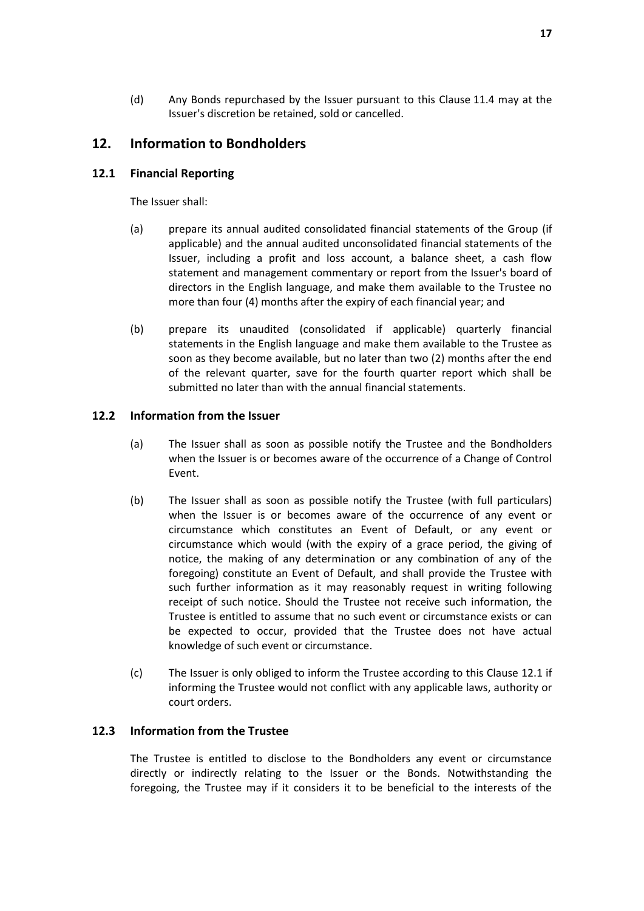(d) Any Bonds repurchased by the Issuer pursuant to this Clause [11.4](#page-17-3) may at the Issuer's discretion be retained, sold or cancelled.

# <span id="page-18-0"></span>**12. Information to Bondholders**

#### <span id="page-18-2"></span>**12.1 Financial Reporting**

The Issuer shall:

- (a) prepare its annual audited consolidated financial statements of the Group (if applicable) and the annual audited unconsolidated financial statements of the Issuer, including a profit and loss account, a balance sheet, a cash flow statement and management commentary or report from the Issuer's board of directors in the English language, and make them available to the Trustee no more than four (4) months after the expiry of each financial year; and
- (b) prepare its unaudited (consolidated if applicable) quarterly financial statements in the English language and make them available to the Trustee as soon as they become available, but no later than two (2) months after the end of the relevant quarter, save for the fourth quarter report which shall be submitted no later than with the annual financial statements.

#### <span id="page-18-1"></span>**12.2 Information from the Issuer**

- (a) The Issuer shall as soon as possible notify the Trustee and the Bondholders when the Issuer is or becomes aware of the occurrence of a Change of Control Event.
- <span id="page-18-3"></span>(b) The Issuer shall as soon as possible notify the Trustee (with full particulars) when the Issuer is or becomes aware of the occurrence of any event or circumstance which constitutes an Event of Default, or any event or circumstance which would (with the expiry of a grace period, the giving of notice, the making of any determination or any combination of any of the foregoing) constitute an Event of Default, and shall provide the Trustee with such further information as it may reasonably request in writing following receipt of such notice. Should the Trustee not receive such information, the Trustee is entitled to assume that no such event or circumstance exists or can be expected to occur, provided that the Trustee does not have actual knowledge of such event or circumstance.
- (c) The Issuer is only obliged to inform the Trustee according to this Clause [12.1](#page-18-2) if informing the Trustee would not conflict with any applicable laws, authority or court orders.

#### **12.3 Information from the Trustee**

The Trustee is entitled to disclose to the Bondholders any event or circumstance directly or indirectly relating to the Issuer or the Bonds. Notwithstanding the foregoing, the Trustee may if it considers it to be beneficial to the interests of the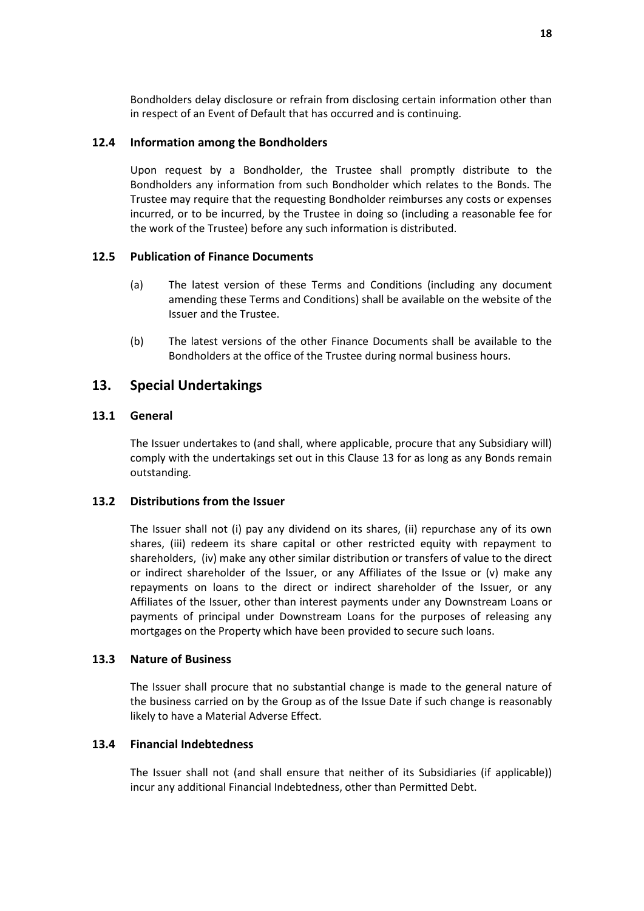Bondholders delay disclosure or refrain from disclosing certain information other than in respect of an Event of Default that has occurred and is continuing.

#### <span id="page-19-1"></span>**12.4 Information among the Bondholders**

Upon request by a Bondholder, the Trustee shall promptly distribute to the Bondholders any information from such Bondholder which relates to the Bonds. The Trustee may require that the requesting Bondholder reimburses any costs or expenses incurred, or to be incurred, by the Trustee in doing so (including a reasonable fee for the work of the Trustee) before any such information is distributed.

#### **12.5 Publication of Finance Documents**

- (a) The latest version of these Terms and Conditions (including any document amending these Terms and Conditions) shall be available on the website of the Issuer and the Trustee.
- (b) The latest versions of the other Finance Documents shall be available to the Bondholders at the office of the Trustee during normal business hours.

### <span id="page-19-0"></span>**13. Special Undertakings**

#### **13.1 General**

The Issuer undertakes to (and shall, where applicable, procure that any Subsidiary will) comply with the undertakings set out in this Clause [13](#page-19-0) for as long as any Bonds remain outstanding.

#### **13.2 Distributions from the Issuer**

The Issuer shall not (i) pay any dividend on its shares, (ii) repurchase any of its own shares, (iii) redeem its share capital or other restricted equity with repayment to shareholders, (iv) make any other similar distribution or transfers of value to the direct or indirect shareholder of the Issuer, or any Affiliates of the Issue or (v) make any repayments on loans to the direct or indirect shareholder of the Issuer, or any Affiliates of the Issuer, other than interest payments under any Downstream Loans or payments of principal under Downstream Loans for the purposes of releasing any mortgages on the Property which have been provided to secure such loans.

#### **13.3 Nature of Business**

The Issuer shall procure that no substantial change is made to the general nature of the business carried on by the Group as of the Issue Date if such change is reasonably likely to have a Material Adverse Effect.

#### **13.4 Financial Indebtedness**

The Issuer shall not (and shall ensure that neither of its Subsidiaries (if applicable)) incur any additional Financial Indebtedness, other than Permitted Debt.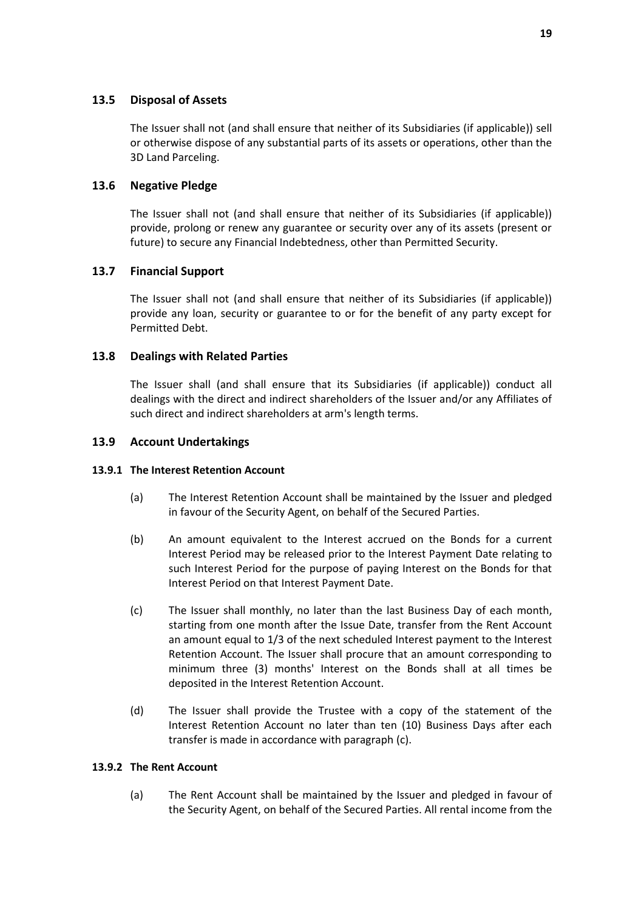#### **13.5 Disposal of Assets**

The Issuer shall not (and shall ensure that neither of its Subsidiaries (if applicable)) sell or otherwise dispose of any substantial parts of its assets or operations, other than the 3D Land Parceling.

#### **13.6 Negative Pledge**

The Issuer shall not (and shall ensure that neither of its Subsidiaries (if applicable)) provide, prolong or renew any guarantee or security over any of its assets (present or future) to secure any Financial Indebtedness, other than Permitted Security.

#### **13.7 Financial Support**

The Issuer shall not (and shall ensure that neither of its Subsidiaries (if applicable)) provide any loan, security or guarantee to or for the benefit of any party except for Permitted Debt.

#### **13.8 Dealings with Related Parties**

The Issuer shall (and shall ensure that its Subsidiaries (if applicable)) conduct all dealings with the direct and indirect shareholders of the Issuer and/or any Affiliates of such direct and indirect shareholders at arm's length terms.

#### **13.9 Account Undertakings**

#### **13.9.1 The Interest Retention Account**

- (a) The Interest Retention Account shall be maintained by the Issuer and pledged in favour of the Security Agent, on behalf of the Secured Parties.
- (b) An amount equivalent to the Interest accrued on the Bonds for a current Interest Period may be released prior to the Interest Payment Date relating to such Interest Period for the purpose of paying Interest on the Bonds for that Interest Period on that Interest Payment Date.
- <span id="page-20-0"></span>(c) The Issuer shall monthly, no later than the last Business Day of each month, starting from one month after the Issue Date, transfer from the Rent Account an amount equal to 1/3 of the next scheduled Interest payment to the Interest Retention Account. The Issuer shall procure that an amount corresponding to minimum three (3) months' Interest on the Bonds shall at all times be deposited in the Interest Retention Account.
- (d) The Issuer shall provide the Trustee with a copy of the statement of the Interest Retention Account no later than ten (10) Business Days after each transfer is made in accordance with paragraph [\(c\).](#page-20-0)

#### **13.9.2 The Rent Account**

(a) The Rent Account shall be maintained by the Issuer and pledged in favour of the Security Agent, on behalf of the Secured Parties. All rental income from the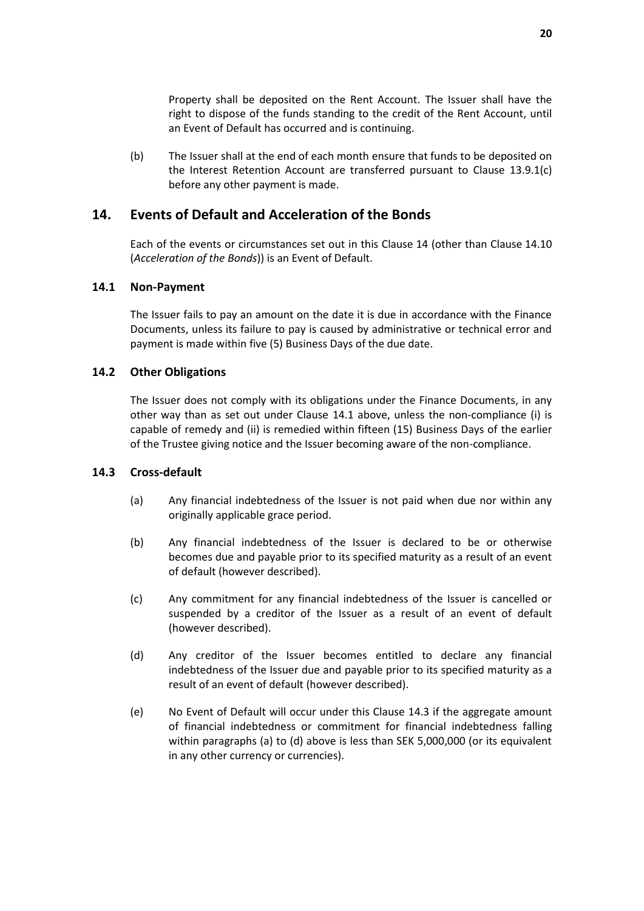Property shall be deposited on the Rent Account. The Issuer shall have the right to dispose of the funds standing to the credit of the Rent Account, until an Event of Default has occurred and is continuing.

(b) The Issuer shall at the end of each month ensure that funds to be deposited on the Interest Retention Account are transferred pursuant to Clause [13.9.1\(c\)](#page-20-0) before any other payment is made.

### <span id="page-21-0"></span>**14. Events of Default and Acceleration of the Bonds**

Each of the events or circumstances set out in this Clause [14](#page-21-0) (other than Clause [14.10](#page-23-1) (*[Acceleration of the Bonds](#page-23-1)*)) is an Event of Default.

#### <span id="page-21-1"></span>**14.1 Non-Payment**

The Issuer fails to pay an amount on the date it is due in accordance with the Finance Documents, unless its failure to pay is caused by administrative or technical error and payment is made within five (5) Business Days of the due date.

#### **14.2 Other Obligations**

The Issuer does not comply with its obligations under the Finance Documents, in any other way than as set out under Clause [14.1](#page-21-1) above, unless the non-compliance (i) is capable of remedy and (ii) is remedied within fifteen (15) Business Days of the earlier of the Trustee giving notice and the Issuer becoming aware of the non-compliance.

#### <span id="page-21-2"></span>**14.3 Cross-default**

- (a) Any financial indebtedness of the Issuer is not paid when due nor within any originally applicable grace period.
- (b) Any financial indebtedness of the Issuer is declared to be or otherwise becomes due and payable prior to its specified maturity as a result of an event of default (however described).
- (c) Any commitment for any financial indebtedness of the Issuer is cancelled or suspended by a creditor of the Issuer as a result of an event of default (however described).
- (d) Any creditor of the Issuer becomes entitled to declare any financial indebtedness of the Issuer due and payable prior to its specified maturity as a result of an event of default (however described).
- (e) No Event of Default will occur under this Clause [14.3](#page-21-2) if the aggregate amount of financial indebtedness or commitment for financial indebtedness falling within paragraphs (a) to (d) above is less than SEK 5,000,000 (or its equivalent in any other currency or currencies).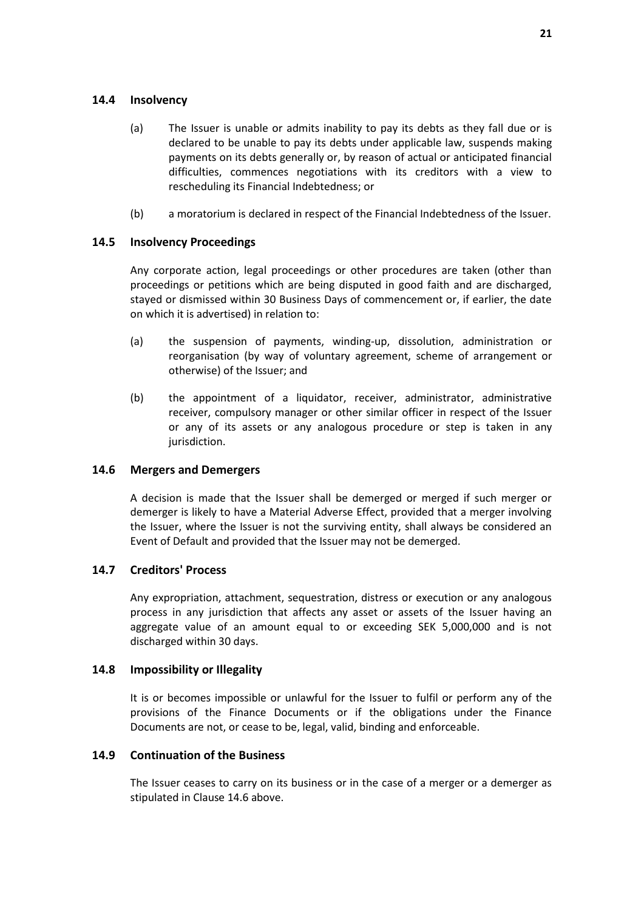#### **14.4 Insolvency**

- (a) The Issuer is unable or admits inability to pay its debts as they fall due or is declared to be unable to pay its debts under applicable law, suspends making payments on its debts generally or, by reason of actual or anticipated financial difficulties, commences negotiations with its creditors with a view to rescheduling its Financial Indebtedness; or
- (b) a moratorium is declared in respect of the Financial Indebtedness of the Issuer.

#### **14.5 Insolvency Proceedings**

Any corporate action, legal proceedings or other procedures are taken (other than proceedings or petitions which are being disputed in good faith and are discharged, stayed or dismissed within 30 Business Days of commencement or, if earlier, the date on which it is advertised) in relation to:

- (a) the suspension of payments, winding-up, dissolution, administration or reorganisation (by way of voluntary agreement, scheme of arrangement or otherwise) of the Issuer; and
- (b) the appointment of a liquidator, receiver, administrator, administrative receiver, compulsory manager or other similar officer in respect of the Issuer or any of its assets or any analogous procedure or step is taken in any jurisdiction.

#### <span id="page-22-1"></span>**14.6 Mergers and Demergers**

A decision is made that the Issuer shall be demerged or merged if such merger or demerger is likely to have a Material Adverse Effect, provided that a merger involving the Issuer, where the Issuer is not the surviving entity, shall always be considered an Event of Default and provided that the Issuer may not be demerged.

#### **14.7 Creditors' Process**

Any expropriation, attachment, sequestration, distress or execution or any analogous process in any jurisdiction that affects any asset or assets of the Issuer having an aggregate value of an amount equal to or exceeding SEK 5,000,000 and is not discharged within 30 days.

#### **14.8 Impossibility or Illegality**

It is or becomes impossible or unlawful for the Issuer to fulfil or perform any of the provisions of the Finance Documents or if the obligations under the Finance Documents are not, or cease to be, legal, valid, binding and enforceable.

#### <span id="page-22-0"></span>**14.9 Continuation of the Business**

The Issuer ceases to carry on its business or in the case of a merger or a demerger as stipulated in Clause [14.6](#page-22-1) above.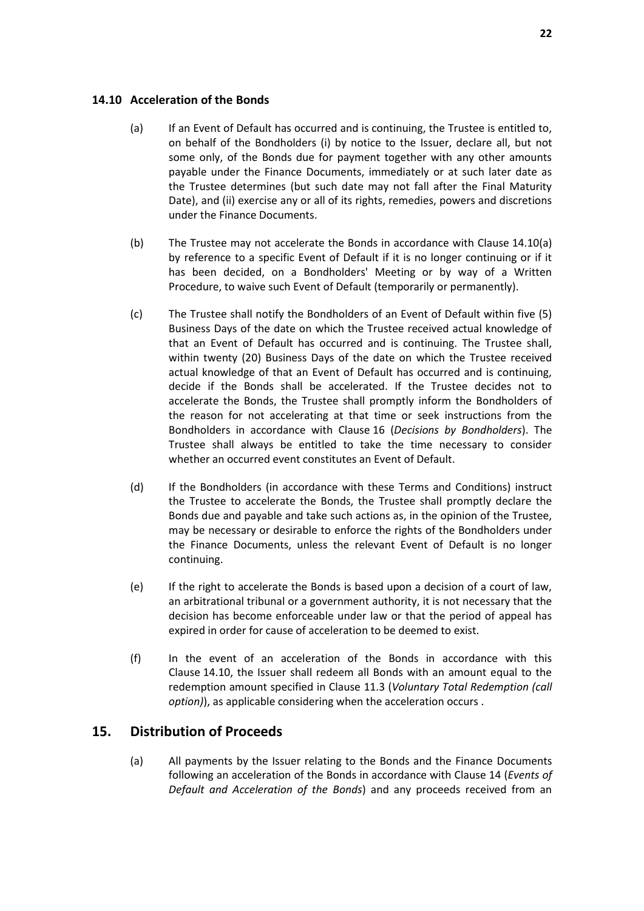#### <span id="page-23-2"></span><span id="page-23-1"></span>**14.10 Acceleration of the Bonds**

- (a) If an Event of Default has occurred and is continuing, the Trustee is entitled to, on behalf of the Bondholders (i) by notice to the Issuer, declare all, but not some only, of the Bonds due for payment together with any other amounts payable under the Finance Documents, immediately or at such later date as the Trustee determines (but such date may not fall after the Final Maturity Date), and (ii) exercise any or all of its rights, remedies, powers and discretions under the Finance Documents.
- (b) The Trustee may not accelerate the Bonds in accordance with Clause [14.10\(a\)](#page-23-2) by reference to a specific Event of Default if it is no longer continuing or if it has been decided, on a Bondholders' Meeting or by way of a Written Procedure, to waive such Event of Default (temporarily or permanently).
- <span id="page-23-3"></span>(c) The Trustee shall notify the Bondholders of an Event of Default within five (5) Business Days of the date on which the Trustee received actual knowledge of that an Event of Default has occurred and is continuing. The Trustee shall, within twenty (20) Business Days of the date on which the Trustee received actual knowledge of that an Event of Default has occurred and is continuing, decide if the Bonds shall be accelerated. If the Trustee decides not to accelerate the Bonds, the Trustee shall promptly inform the Bondholders of the reason for not accelerating at that time or seek instructions from the Bondholders in accordance with Clause [16](#page-24-0) (*[Decisions by Bondholders](#page-24-0)*). The Trustee shall always be entitled to take the time necessary to consider whether an occurred event constitutes an Event of Default.
- (d) If the Bondholders (in accordance with these Terms and Conditions) instruct the Trustee to accelerate the Bonds, the Trustee shall promptly declare the Bonds due and payable and take such actions as, in the opinion of the Trustee, may be necessary or desirable to enforce the rights of the Bondholders under the Finance Documents, unless the relevant Event of Default is no longer continuing.
- (e) If the right to accelerate the Bonds is based upon a decision of a court of law, an arbitrational tribunal or a government authority, it is not necessary that the decision has become enforceable under law or that the period of appeal has expired in order for cause of acceleration to be deemed to exist.
- (f) In the event of an acceleration of the Bonds in accordance with this Clause [14.](#page-21-0)10, the Issuer shall redeem all Bonds with an amount equal to the redemption amount specified in Clause [11.3](#page-17-1) (*Voluntary Total Redemption (call option)*), as applicable considering when the acceleration occurs .

# <span id="page-23-0"></span>**15. Distribution of Proceeds**

(a) All payments by the Issuer relating to the Bonds and the Finance Documents following an acceleration of the Bonds in accordance with Clause [14](#page-21-0) (*[Events of](#page-21-0)  [Default and Acceleration of the Bonds](#page-21-0)*) and any proceeds received from an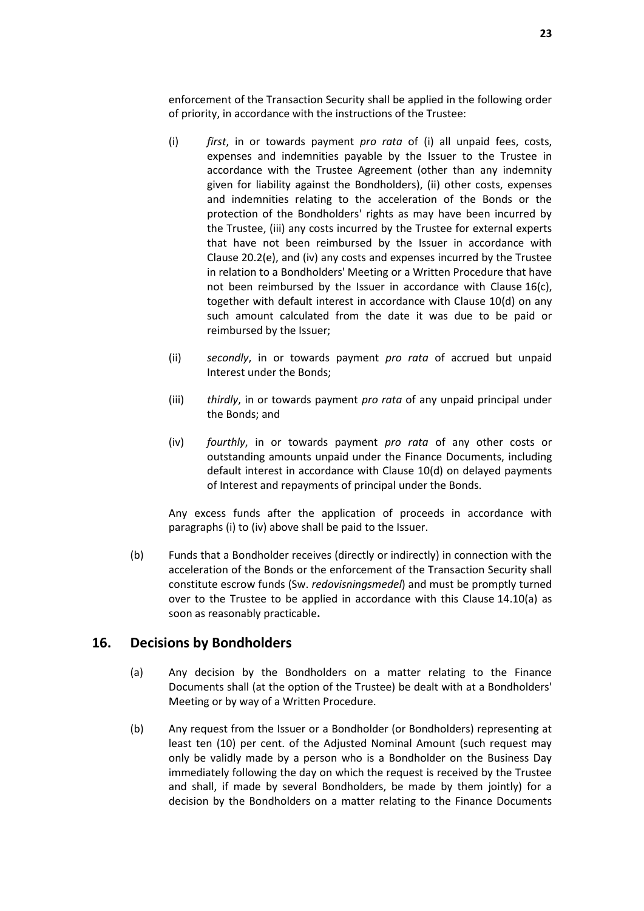enforcement of the Transaction Security shall be applied in the following order of priority, in accordance with the instructions of the Trustee:

- (i) *first*, in or towards payment *pro rata* of (i) all unpaid fees, costs, expenses and indemnities payable by the Issuer to the Trustee in accordance with the Trustee Agreement (other than any indemnity given for liability against the Bondholders), (ii) other costs, expenses and indemnities relating to the acceleration of the Bonds or the protection of the Bondholders' rights as may have been incurred by the Trustee, (iii) any costs incurred by the Trustee for external experts that have not been reimbursed by the Issuer in accordance with Clause [20.2\(e\),](#page-31-0) and (iv) any costs and expenses incurred by the Trustee in relation to a Bondholders' Meeting or a Written Procedure that have not been reimbursed by the Issuer in accordance with Clause [16\(c\),](#page-25-0) together with default interest in accordance with Clause [10\(d\)](#page-16-4) on any such amount calculated from the date it was due to be paid or reimbursed by the Issuer;
- (ii) *secondly*, in or towards payment *pro rata* of accrued but unpaid Interest under the Bonds;
- (iii) *thirdly*, in or towards payment *pro rata* of any unpaid principal under the Bonds; and
- (iv) *fourthly*, in or towards payment *pro rata* of any other costs or outstanding amounts unpaid under the Finance Documents, including default interest in accordance with Clause [10\(d\)](#page-16-4) on delayed payments of Interest and repayments of principal under the Bonds.

Any excess funds after the application of proceeds in accordance with paragraphs (i) to (iv) above shall be paid to the Issuer.

(b) Funds that a Bondholder receives (directly or indirectly) in connection with the acceleration of the Bonds or the enforcement of the Transaction Security shall constitute escrow funds (Sw. *redovisningsmedel*) and must be promptly turned over to the Trustee to be applied in accordance with this Clause [14.10\(a\)](#page-23-2) as soon as reasonably practicable**.**

# <span id="page-24-0"></span>**16. Decisions by Bondholders**

- (a) Any decision by the Bondholders on a matter relating to the Finance Documents shall (at the option of the Trustee) be dealt with at a Bondholders' Meeting or by way of a Written Procedure.
- (b) Any request from the Issuer or a Bondholder (or Bondholders) representing at least ten (10) per cent. of the Adjusted Nominal Amount (such request may only be validly made by a person who is a Bondholder on the Business Day immediately following the day on which the request is received by the Trustee and shall, if made by several Bondholders, be made by them jointly) for a decision by the Bondholders on a matter relating to the Finance Documents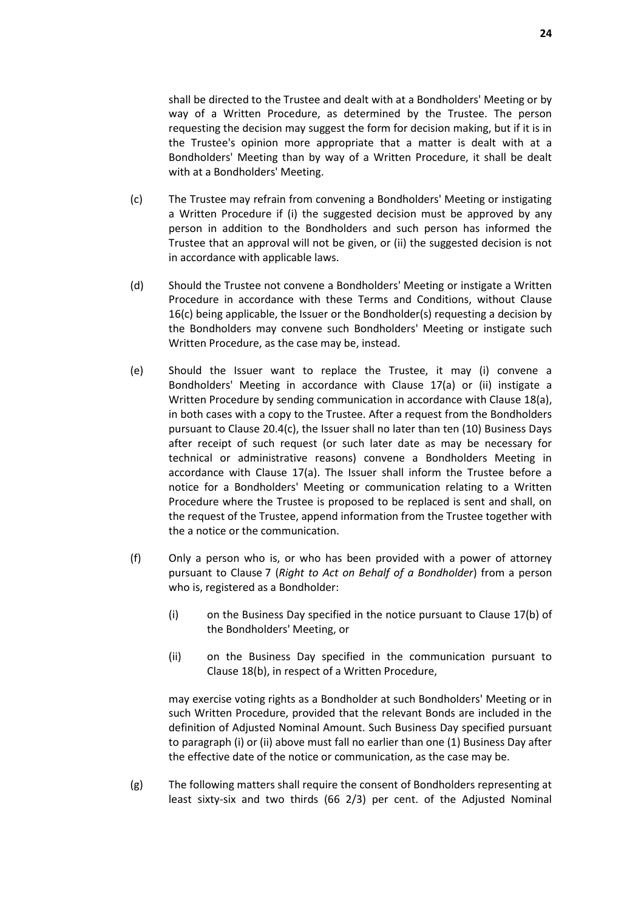requesting the decision may suggest the form for decision making, but if it is in the Trustee's opinion more appropriate that a matter is dealt with at a Bondholders' Meeting than by way of a Written Procedure, it shall be dealt with at a Bondholders' Meeting.

- <span id="page-25-0"></span>(c) The Trustee may refrain from convening a Bondholders' Meeting or instigating a Written Procedure if (i) the suggested decision must be approved by any person in addition to the Bondholders and such person has informed the Trustee that an approval will not be given, or (ii) the suggested decision is not in accordance with applicable laws.
- (d) Should the Trustee not convene a Bondholders' Meeting or instigate a Written Procedure in accordance with these Terms and Conditions, without Clause [16\(c\)](#page-24-0) being applicable, the Issuer or the Bondholder(s) requesting a decision by the Bondholders may convene such Bondholders' Meeting or instigate such Written Procedure, as the case may be, instead.
- (e) Should the Issuer want to replace the Trustee, it may (i) convene a Bondholders' Meeting in accordance with Clause [17\(a\)](#page-28-2) or (ii) instigate a Written Procedure by sending communication in accordance with Clause [18\(a\),](#page-28-3) in both cases with a copy to the Trustee. After a request from the Bondholders pursuant to Clause [20.4\(c\),](#page-32-0) the Issuer shall no later than ten (10) Business Days after receipt of such request (or such later date as may be necessary for technical or administrative reasons) convene a Bondholders Meeting in accordance with Clause [17\(a\).](#page-28-2) The Issuer shall inform the Trustee before a notice for a Bondholders' Meeting or communication relating to a Written Procedure where the Trustee is proposed to be replaced is sent and shall, on the request of the Trustee, append information from the Trustee together with the a notice or the communication.
- (f) Only a person who is, or who has been provided with a power of attorney pursuant to Clause [7](#page-13-1) (*[Right to Act on Behalf of a Bondholder](#page-13-1)*) from a person who is, registered as a Bondholder:
	- (i) on the Business Day specified in the notice pursuant to Clause [17\(b\)](#page-28-4) of the Bondholders' Meeting, or
	- (ii) on the Business Day specified in the communication pursuant to Clause [18\(b\),](#page-29-1) in respect of a Written Procedure,

may exercise voting rights as a Bondholder at such Bondholders' Meeting or in such Written Procedure, provided that the relevant Bonds are included in the definition of Adjusted Nominal Amount. Such Business Day specified pursuant to paragraph (i) or (ii) above must fall no earlier than one (1) Business Day after the effective date of the notice or communication, as the case may be.

<span id="page-25-1"></span>(g) The following matters shall require the consent of Bondholders representing at least sixty-six and two thirds (66 2/3) per cent. of the Adjusted Nominal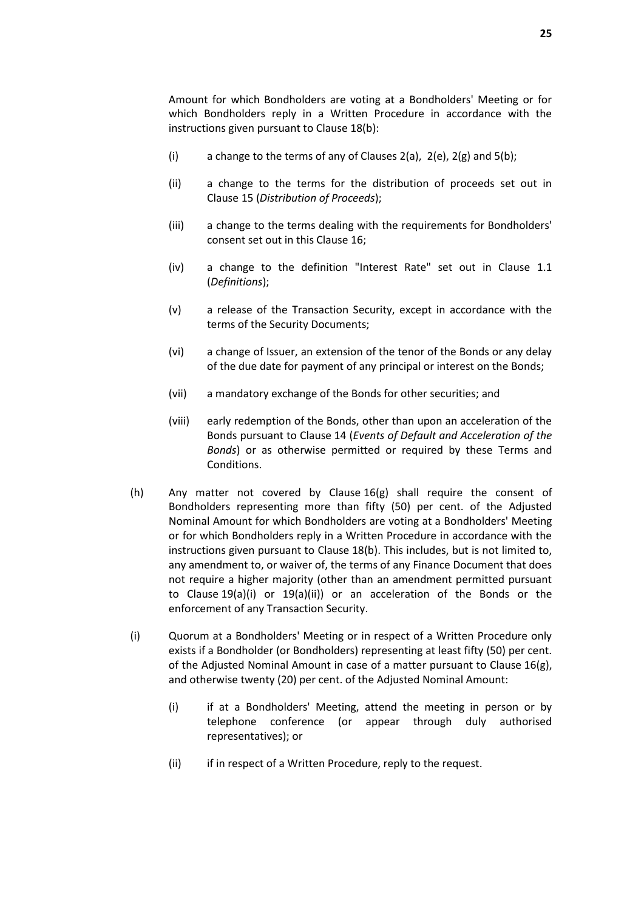Amount for which Bondholders are voting at a Bondholders' Meeting or for which Bondholders reply in a Written Procedure in accordance with the instructions given pursuant to Clause [18\(b\):](#page-29-1)

- (i) a change to the terms of any of Clauses  $2(a)$ ,  $2(e)$ ,  $2(g)$  and  $5(b)$ ;
- (ii) a change to the terms for the distribution of proceeds set out in Clause [15](#page-23-0) (*[Distribution of Proceeds](#page-23-0)*);
- (iii) a change to the terms dealing with the requirements for Bondholders' consent set out in this Clause [16;](#page-24-0)
- (iv) a change to the definition "Interest Rate" set out in Clause [1.1](#page-2-1) (*Definitions*);
- (v) a release of the Transaction Security, except in accordance with the terms of the Security Documents;
- (vi) a change of Issuer, an extension of the tenor of the Bonds or any delay of the due date for payment of any principal or interest on the Bonds;
- (vii) a mandatory exchange of the Bonds for other securities; and
- (viii) early redemption of the Bonds, other than upon an acceleration of the Bonds pursuant to Clause [14](#page-21-0) (*[Events of Default and Acceleration of the](#page-21-0)  [Bonds](#page-21-0)*) or as otherwise permitted or required by these Terms and Conditions.
- <span id="page-26-1"></span>(h) Any matter not covered by Clause [16\(g\)](#page-25-1) shall require the consent of Bondholders representing more than fifty (50) per cent. of the Adjusted Nominal Amount for which Bondholders are voting at a Bondholders' Meeting or for which Bondholders reply in a Written Procedure in accordance with the instructions given pursuant to Clause [18\(b\).](#page-29-1) This includes, but is not limited to, any amendment to, or waiver of, the terms of any Finance Document that does not require a higher majority (other than an amendment permitted pursuant to Clause [19\(a\)\(i\)](#page-29-2) or [19\(a\)\(ii\)\)](#page-29-3) or an acceleration of the Bonds or the enforcement of any Transaction Security.
- <span id="page-26-0"></span>(i) Quorum at a Bondholders' Meeting or in respect of a Written Procedure only exists if a Bondholder (or Bondholders) representing at least fifty (50) per cent. of the Adjusted Nominal Amount in case of a matter pursuant to Clause [16\(g\),](#page-25-1) and otherwise twenty (20) per cent. of the Adjusted Nominal Amount:
	- (i) if at a Bondholders' Meeting, attend the meeting in person or by telephone conference (or appear through duly authorised representatives); or
	- (ii) if in respect of a Written Procedure, reply to the request.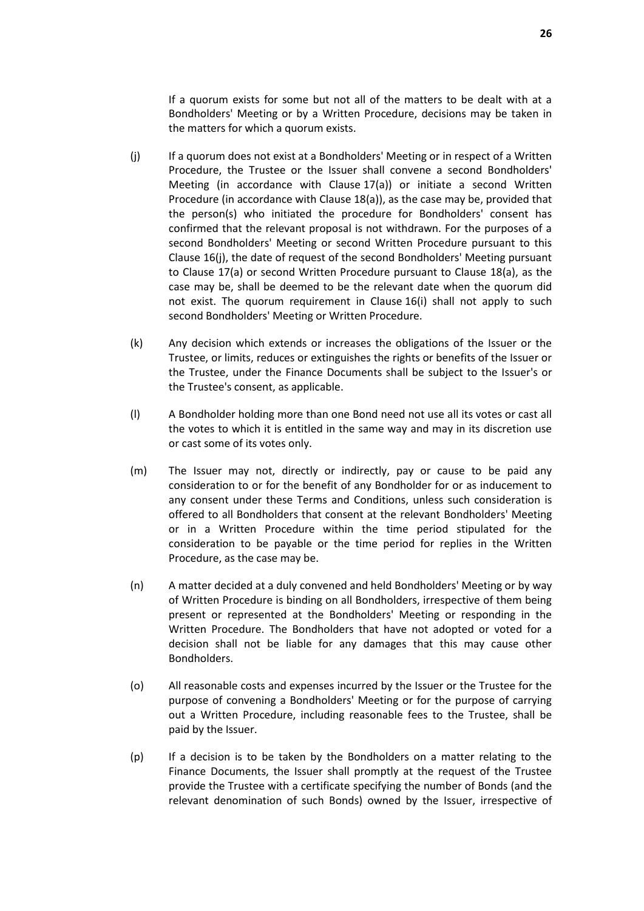If a quorum exists for some but not all of the matters to be dealt with at a Bondholders' Meeting or by a Written Procedure, decisions may be taken in the matters for which a quorum exists.

- (j) If a quorum does not exist at a Bondholders' Meeting or in respect of a Written Procedure, the Trustee or the Issuer shall convene a second Bondholders' Meeting (in accordance with Clause [17\(a\)\)](#page-28-2) or initiate a second Written Procedure (in accordance with Clause [18\(a\)\)](#page-28-3), as the case may be, provided that the person(s) who initiated the procedure for Bondholders' consent has confirmed that the relevant proposal is not withdrawn. For the purposes of a second Bondholders' Meeting or second Written Procedure pursuant to this Clause [16\(j\),](#page-24-0) the date of request of the second Bondholders' Meeting pursuant to Clause [17\(a\)](#page-28-2) or second Written Procedure pursuant to Clause [18\(a\),](#page-28-3) as the case may be, shall be deemed to be the relevant date when the quorum did not exist. The quorum requirement in Clause [16\(i\)](#page-26-0) shall not apply to such second Bondholders' Meeting or Written Procedure.
- (k) Any decision which extends or increases the obligations of the Issuer or the Trustee, or limits, reduces or extinguishes the rights or benefits of the Issuer or the Trustee, under the Finance Documents shall be subject to the Issuer's or the Trustee's consent, as applicable.
- (l) A Bondholder holding more than one Bond need not use all its votes or cast all the votes to which it is entitled in the same way and may in its discretion use or cast some of its votes only.
- (m) The Issuer may not, directly or indirectly, pay or cause to be paid any consideration to or for the benefit of any Bondholder for or as inducement to any consent under these Terms and Conditions, unless such consideration is offered to all Bondholders that consent at the relevant Bondholders' Meeting or in a Written Procedure within the time period stipulated for the consideration to be payable or the time period for replies in the Written Procedure, as the case may be.
- (n) A matter decided at a duly convened and held Bondholders' Meeting or by way of Written Procedure is binding on all Bondholders, irrespective of them being present or represented at the Bondholders' Meeting or responding in the Written Procedure. The Bondholders that have not adopted or voted for a decision shall not be liable for any damages that this may cause other Bondholders.
- (o) All reasonable costs and expenses incurred by the Issuer or the Trustee for the purpose of convening a Bondholders' Meeting or for the purpose of carrying out a Written Procedure, including reasonable fees to the Trustee, shall be paid by the Issuer.
- (p) If a decision is to be taken by the Bondholders on a matter relating to the Finance Documents, the Issuer shall promptly at the request of the Trustee provide the Trustee with a certificate specifying the number of Bonds (and the relevant denomination of such Bonds) owned by the Issuer, irrespective of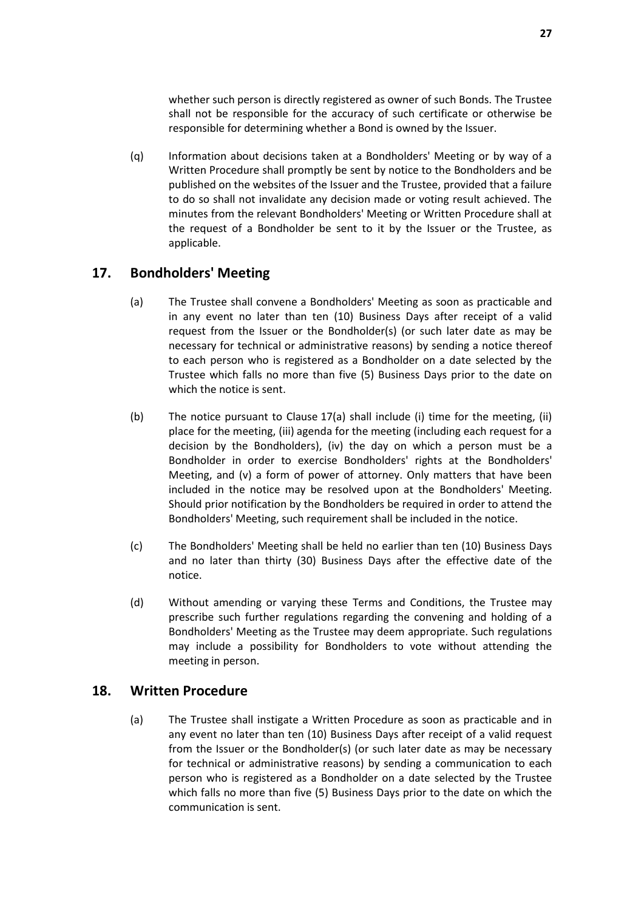whether such person is directly registered as owner of such Bonds. The Trustee shall not be responsible for the accuracy of such certificate or otherwise be responsible for determining whether a Bond is owned by the Issuer.

<span id="page-28-5"></span>(q) Information about decisions taken at a Bondholders' Meeting or by way of a Written Procedure shall promptly be sent by notice to the Bondholders and be published on the websites of the Issuer and the Trustee, provided that a failure to do so shall not invalidate any decision made or voting result achieved. The minutes from the relevant Bondholders' Meeting or Written Procedure shall at the request of a Bondholder be sent to it by the Issuer or the Trustee, as applicable.

# <span id="page-28-2"></span><span id="page-28-0"></span>**17. Bondholders' Meeting**

- (a) The Trustee shall convene a Bondholders' Meeting as soon as practicable and in any event no later than ten (10) Business Days after receipt of a valid request from the Issuer or the Bondholder(s) (or such later date as may be necessary for technical or administrative reasons) by sending a notice thereof to each person who is registered as a Bondholder on a date selected by the Trustee which falls no more than five (5) Business Days prior to the date on which the notice is sent.
- <span id="page-28-4"></span>(b) The notice pursuant to Clause [17\(a\)](#page-28-2) shall include (i) time for the meeting, (ii) place for the meeting, (iii) agenda for the meeting (including each request for a decision by the Bondholders), (iv) the day on which a person must be a Bondholder in order to exercise Bondholders' rights at the Bondholders' Meeting, and (v) a form of power of attorney. Only matters that have been included in the notice may be resolved upon at the Bondholders' Meeting. Should prior notification by the Bondholders be required in order to attend the Bondholders' Meeting, such requirement shall be included in the notice.
- (c) The Bondholders' Meeting shall be held no earlier than ten (10) Business Days and no later than thirty (30) Business Days after the effective date of the notice.
- (d) Without amending or varying these Terms and Conditions, the Trustee may prescribe such further regulations regarding the convening and holding of a Bondholders' Meeting as the Trustee may deem appropriate. Such regulations may include a possibility for Bondholders to vote without attending the meeting in person.

#### <span id="page-28-3"></span><span id="page-28-1"></span>**18. Written Procedure**

(a) The Trustee shall instigate a Written Procedure as soon as practicable and in any event no later than ten (10) Business Days after receipt of a valid request from the Issuer or the Bondholder(s) (or such later date as may be necessary for technical or administrative reasons) by sending a communication to each person who is registered as a Bondholder on a date selected by the Trustee which falls no more than five (5) Business Days prior to the date on which the communication is sent.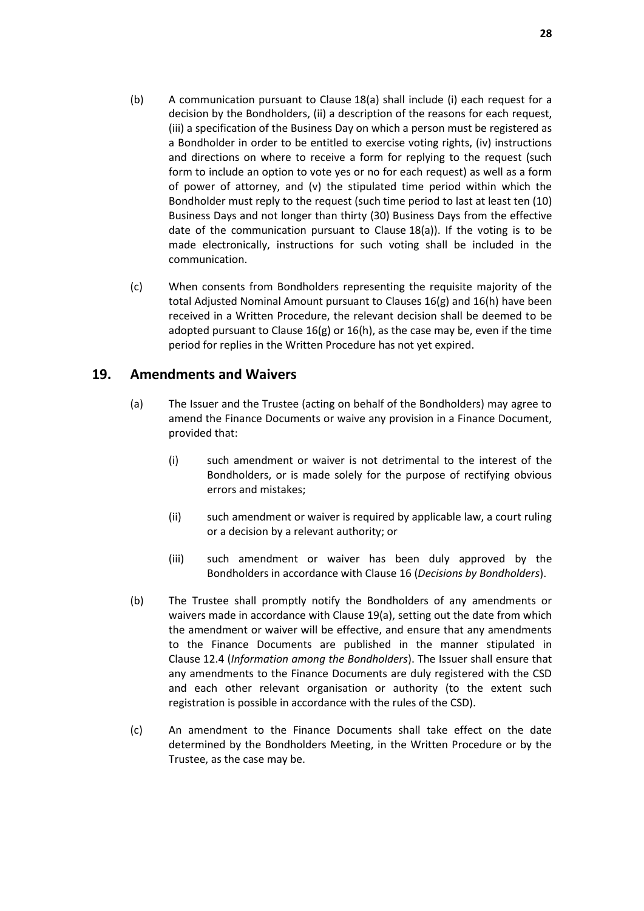- <span id="page-29-1"></span>(b) A communication pursuant to Clause [18\(a\)](#page-28-3) shall include (i) each request for a decision by the Bondholders, (ii) a description of the reasons for each request, (iii) a specification of the Business Day on which a person must be registered as a Bondholder in order to be entitled to exercise voting rights, (iv) instructions and directions on where to receive a form for replying to the request (such form to include an option to vote yes or no for each request) as well as a form of power of attorney, and (v) the stipulated time period within which the Bondholder must reply to the request (such time period to last at least ten (10) Business Days and not longer than thirty (30) Business Days from the effective date of the communication pursuant to Clause [18\(a\)\)](#page-28-3). If the voting is to be made electronically, instructions for such voting shall be included in the communication.
- (c) When consents from Bondholders representing the requisite majority of the total Adjusted Nominal Amount pursuant to Clauses [16\(g\)](#page-25-1) and [16\(h\)](#page-26-1) have been received in a Written Procedure, the relevant decision shall be deemed to be adopted pursuant to Clause  $16(g)$  or  $16(h)$ , as the case may be, even if the time period for replies in the Written Procedure has not yet expired.

# <span id="page-29-4"></span><span id="page-29-0"></span>**19. Amendments and Waivers**

- <span id="page-29-2"></span>(a) The Issuer and the Trustee (acting on behalf of the Bondholders) may agree to amend the Finance Documents or waive any provision in a Finance Document, provided that:
	- (i) such amendment or waiver is not detrimental to the interest of the Bondholders, or is made solely for the purpose of rectifying obvious errors and mistakes;
	- (ii) such amendment or waiver is required by applicable law, a court ruling or a decision by a relevant authority; or
	- (iii) such amendment or waiver has been duly approved by the Bondholders in accordance with Clause [16](#page-24-0) (*[Decisions by Bondholders](#page-24-0)*).
- <span id="page-29-5"></span><span id="page-29-3"></span>(b) The Trustee shall promptly notify the Bondholders of any amendments or waivers made in accordance with Clause [19\(a\),](#page-29-4) setting out the date from which the amendment or waiver will be effective, and ensure that any amendments to the Finance Documents are published in the manner stipulated in Clause [12.4](#page-19-1) (*Information among the Bondholders*). The Issuer shall ensure that any amendments to the Finance Documents are duly registered with the CSD and each other relevant organisation or authority (to the extent such registration is possible in accordance with the rules of the CSD).
- (c) An amendment to the Finance Documents shall take effect on the date determined by the Bondholders Meeting, in the Written Procedure or by the Trustee, as the case may be.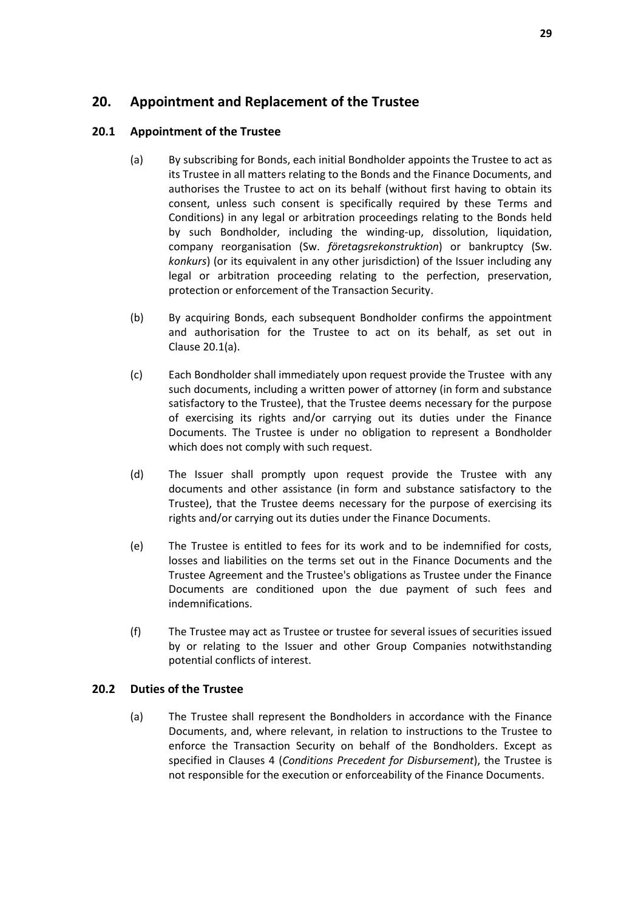# <span id="page-30-0"></span>**20. Appointment and Replacement of the Trustee**

### <span id="page-30-1"></span>**20.1 Appointment of the Trustee**

- (a) By subscribing for Bonds, each initial Bondholder appoints the Trustee to act as its Trustee in all matters relating to the Bonds and the Finance Documents, and authorises the Trustee to act on its behalf (without first having to obtain its consent, unless such consent is specifically required by these Terms and Conditions) in any legal or arbitration proceedings relating to the Bonds held by such Bondholder, including the winding-up, dissolution, liquidation, company reorganisation (Sw. *företagsrekonstruktion*) or bankruptcy (Sw. *konkurs*) (or its equivalent in any other jurisdiction) of the Issuer including any legal or arbitration proceeding relating to the perfection, preservation, protection or enforcement of the Transaction Security.
- (b) By acquiring Bonds, each subsequent Bondholder confirms the appointment and authorisation for the Trustee to act on its behalf, as set out in Clause [20.1\(a\).](#page-30-1)
- <span id="page-30-2"></span>(c) Each Bondholder shall immediately upon request provide the Trustee with any such documents, including a written power of attorney (in form and substance satisfactory to the Trustee), that the Trustee deems necessary for the purpose of exercising its rights and/or carrying out its duties under the Finance Documents. The Trustee is under no obligation to represent a Bondholder which does not comply with such request.
- (d) The Issuer shall promptly upon request provide the Trustee with any documents and other assistance (in form and substance satisfactory to the Trustee), that the Trustee deems necessary for the purpose of exercising its rights and/or carrying out its duties under the Finance Documents.
- (e) The Trustee is entitled to fees for its work and to be indemnified for costs, losses and liabilities on the terms set out in the Finance Documents and the Trustee Agreement and the Trustee's obligations as Trustee under the Finance Documents are conditioned upon the due payment of such fees and indemnifications.
- (f) The Trustee may act as Trustee or trustee for several issues of securities issued by or relating to the Issuer and other Group Companies notwithstanding potential conflicts of interest.

#### **20.2 Duties of the Trustee**

(a) The Trustee shall represent the Bondholders in accordance with the Finance Documents, and, where relevant, in relation to instructions to the Trustee to enforce the Transaction Security on behalf of the Bondholders. Except as specified in Clauses [4](#page-11-1) (*[Conditions Precedent](#page-11-1) for Disbursement*), the Trustee is not responsible for the execution or enforceability of the Finance Documents.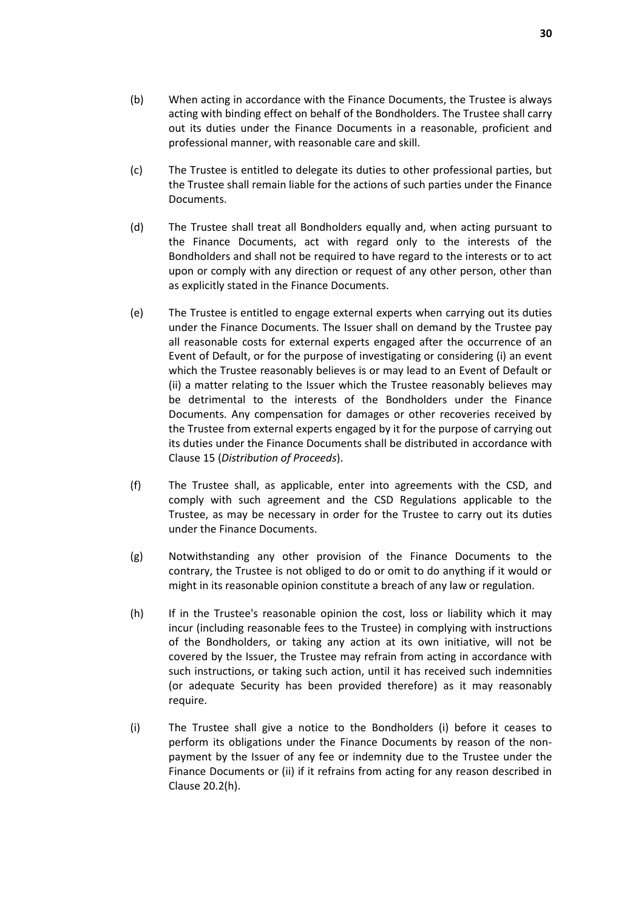- (b) When acting in accordance with the Finance Documents, the Trustee is always acting with binding effect on behalf of the Bondholders. The Trustee shall carry out its duties under the Finance Documents in a reasonable, proficient and professional manner, with reasonable care and skill.
- (c) The Trustee is entitled to delegate its duties to other professional parties, but the Trustee shall remain liable for the actions of such parties under the Finance Documents.
- (d) The Trustee shall treat all Bondholders equally and, when acting pursuant to the Finance Documents, act with regard only to the interests of the Bondholders and shall not be required to have regard to the interests or to act upon or comply with any direction or request of any other person, other than as explicitly stated in the Finance Documents.
- <span id="page-31-0"></span>(e) The Trustee is entitled to engage external experts when carrying out its duties under the Finance Documents. The Issuer shall on demand by the Trustee pay all reasonable costs for external experts engaged after the occurrence of an Event of Default, or for the purpose of investigating or considering (i) an event which the Trustee reasonably believes is or may lead to an Event of Default or (ii) a matter relating to the Issuer which the Trustee reasonably believes may be detrimental to the interests of the Bondholders under the Finance Documents. Any compensation for damages or other recoveries received by the Trustee from external experts engaged by it for the purpose of carrying out its duties under the Finance Documents shall be distributed in accordance with Clause [15](#page-23-0) (*[Distribution of Proceeds](#page-23-0)*).
- (f) The Trustee shall, as applicable, enter into agreements with the CSD, and comply with such agreement and the CSD Regulations applicable to the Trustee, as may be necessary in order for the Trustee to carry out its duties under the Finance Documents.
- (g) Notwithstanding any other provision of the Finance Documents to the contrary, the Trustee is not obliged to do or omit to do anything if it would or might in its reasonable opinion constitute a breach of any law or regulation.
- <span id="page-31-1"></span>(h) If in the Trustee's reasonable opinion the cost, loss or liability which it may incur (including reasonable fees to the Trustee) in complying with instructions of the Bondholders, or taking any action at its own initiative, will not be covered by the Issuer, the Trustee may refrain from acting in accordance with such instructions, or taking such action, until it has received such indemnities (or adequate Security has been provided therefore) as it may reasonably require.
- <span id="page-31-2"></span>(i) The Trustee shall give a notice to the Bondholders (i) before it ceases to perform its obligations under the Finance Documents by reason of the nonpayment by the Issuer of any fee or indemnity due to the Trustee under the Finance Documents or (ii) if it refrains from acting for any reason described in Clause [20.2\(h\).](#page-31-1)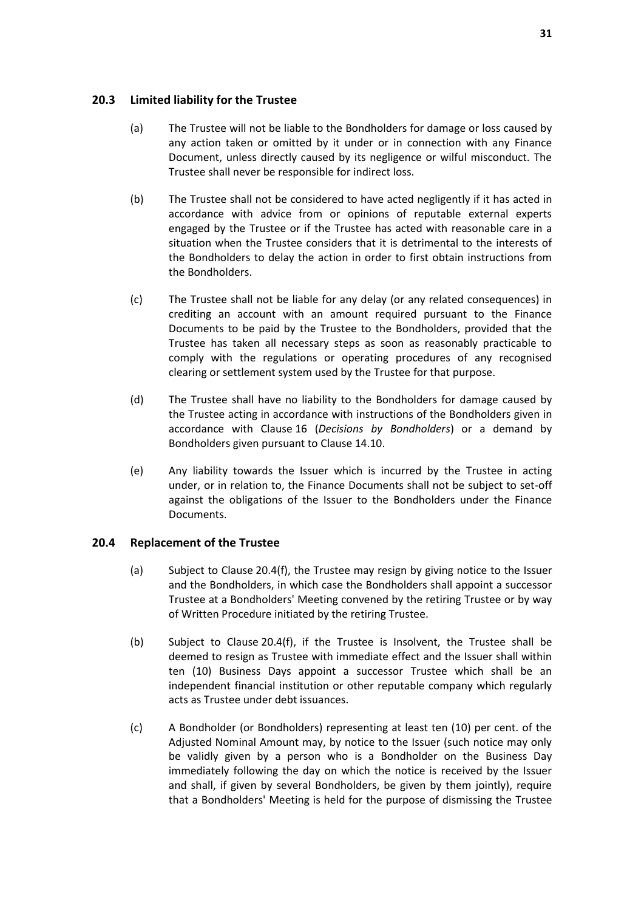#### **20.3 Limited liability for the Trustee**

- (a) The Trustee will not be liable to the Bondholders for damage or loss caused by any action taken or omitted by it under or in connection with any Finance Document, unless directly caused by its negligence or wilful misconduct. The Trustee shall never be responsible for indirect loss.
- (b) The Trustee shall not be considered to have acted negligently if it has acted in accordance with advice from or opinions of reputable external experts engaged by the Trustee or if the Trustee has acted with reasonable care in a situation when the Trustee considers that it is detrimental to the interests of the Bondholders to delay the action in order to first obtain instructions from the Bondholders.
- (c) The Trustee shall not be liable for any delay (or any related consequences) in crediting an account with an amount required pursuant to the Finance Documents to be paid by the Trustee to the Bondholders, provided that the Trustee has taken all necessary steps as soon as reasonably practicable to comply with the regulations or operating procedures of any recognised clearing or settlement system used by the Trustee for that purpose.
- (d) The Trustee shall have no liability to the Bondholders for damage caused by the Trustee acting in accordance with instructions of the Bondholders given in accordance with Clause [16](#page-24-0) (*[Decisions by Bondholders](#page-24-0)*) or a demand by Bondholders given pursuant to Clause [14.10.](#page-23-1)
- (e) Any liability towards the Issuer which is incurred by the Trustee in acting under, or in relation to, the Finance Documents shall not be subject to set-off against the obligations of the Issuer to the Bondholders under the Finance Documents.

#### <span id="page-32-1"></span>**20.4 Replacement of the Trustee**

- (a) Subject to Clause [20.4\(f\),](#page-33-1) the Trustee may resign by giving notice to the Issuer and the Bondholders, in which case the Bondholders shall appoint a successor Trustee at a Bondholders' Meeting convened by the retiring Trustee or by way of Written Procedure initiated by the retiring Trustee.
- (b) Subject to Clause [20.4\(f\),](#page-33-1) if the Trustee is Insolvent, the Trustee shall be deemed to resign as Trustee with immediate effect and the Issuer shall within ten (10) Business Days appoint a successor Trustee which shall be an independent financial institution or other reputable company which regularly acts as Trustee under debt issuances.
- <span id="page-32-0"></span>(c) A Bondholder (or Bondholders) representing at least ten (10) per cent. of the Adjusted Nominal Amount may, by notice to the Issuer (such notice may only be validly given by a person who is a Bondholder on the Business Day immediately following the day on which the notice is received by the Issuer and shall, if given by several Bondholders, be given by them jointly), require that a Bondholders' Meeting is held for the purpose of dismissing the Trustee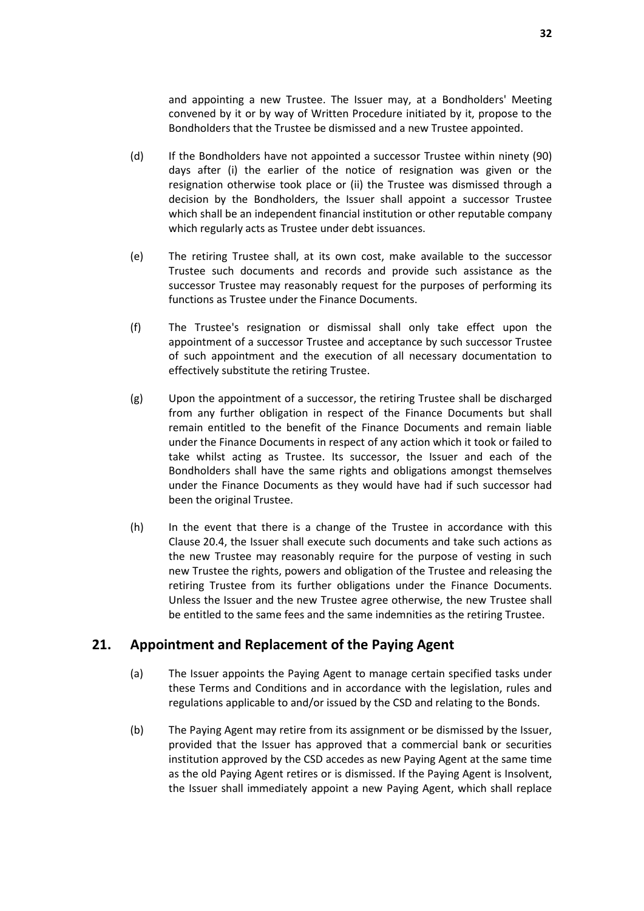and appointing a new Trustee. The Issuer may, at a Bondholders' Meeting convened by it or by way of Written Procedure initiated by it, propose to the Bondholders that the Trustee be dismissed and a new Trustee appointed.

- (d) If the Bondholders have not appointed a successor Trustee within ninety (90) days after (i) the earlier of the notice of resignation was given or the resignation otherwise took place or (ii) the Trustee was dismissed through a decision by the Bondholders, the Issuer shall appoint a successor Trustee which shall be an independent financial institution or other reputable company which regularly acts as Trustee under debt issuances.
- (e) The retiring Trustee shall, at its own cost, make available to the successor Trustee such documents and records and provide such assistance as the successor Trustee may reasonably request for the purposes of performing its functions as Trustee under the Finance Documents.
- <span id="page-33-1"></span>(f) The Trustee's resignation or dismissal shall only take effect upon the appointment of a successor Trustee and acceptance by such successor Trustee of such appointment and the execution of all necessary documentation to effectively substitute the retiring Trustee.
- (g) Upon the appointment of a successor, the retiring Trustee shall be discharged from any further obligation in respect of the Finance Documents but shall remain entitled to the benefit of the Finance Documents and remain liable under the Finance Documents in respect of any action which it took or failed to take whilst acting as Trustee. Its successor, the Issuer and each of the Bondholders shall have the same rights and obligations amongst themselves under the Finance Documents as they would have had if such successor had been the original Trustee.
- (h) In the event that there is a change of the Trustee in accordance with this Clause [20.4,](#page-32-1) the Issuer shall execute such documents and take such actions as the new Trustee may reasonably require for the purpose of vesting in such new Trustee the rights, powers and obligation of the Trustee and releasing the retiring Trustee from its further obligations under the Finance Documents. Unless the Issuer and the new Trustee agree otherwise, the new Trustee shall be entitled to the same fees and the same indemnities as the retiring Trustee.

# <span id="page-33-0"></span>**21. Appointment and Replacement of the Paying Agent**

- (a) The Issuer appoints the Paying Agent to manage certain specified tasks under these Terms and Conditions and in accordance with the legislation, rules and regulations applicable to and/or issued by the CSD and relating to the Bonds.
- (b) The Paying Agent may retire from its assignment or be dismissed by the Issuer, provided that the Issuer has approved that a commercial bank or securities institution approved by the CSD accedes as new Paying Agent at the same time as the old Paying Agent retires or is dismissed. If the Paying Agent is Insolvent, the Issuer shall immediately appoint a new Paying Agent, which shall replace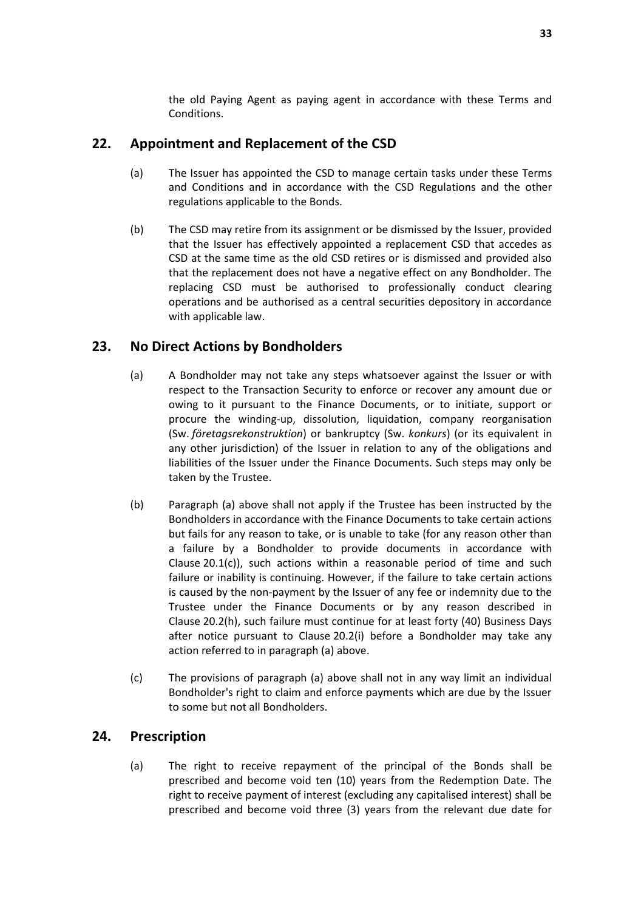the old Paying Agent as paying agent in accordance with these Terms and Conditions.

# <span id="page-34-0"></span>**22. Appointment and Replacement of the CSD**

- (a) The Issuer has appointed the CSD to manage certain tasks under these Terms and Conditions and in accordance with the CSD Regulations and the other regulations applicable to the Bonds.
- (b) The CSD may retire from its assignment or be dismissed by the Issuer, provided that the Issuer has effectively appointed a replacement CSD that accedes as CSD at the same time as the old CSD retires or is dismissed and provided also that the replacement does not have a negative effect on any Bondholder. The replacing CSD must be authorised to professionally conduct clearing operations and be authorised as a central securities depository in accordance with applicable law.

# <span id="page-34-1"></span>**23. No Direct Actions by Bondholders**

- (a) A Bondholder may not take any steps whatsoever against the Issuer or with respect to the Transaction Security to enforce or recover any amount due or owing to it pursuant to the Finance Documents, or to initiate, support or procure the winding-up, dissolution, liquidation, company reorganisation (Sw. *företagsrekonstruktion*) or bankruptcy (Sw. *konkurs*) (or its equivalent in any other jurisdiction) of the Issuer in relation to any of the obligations and liabilities of the Issuer under the Finance Documents. Such steps may only be taken by the Trustee.
- (b) Paragraph (a) above shall not apply if the Trustee has been instructed by the Bondholders in accordance with the Finance Documents to take certain actions but fails for any reason to take, or is unable to take (for any reason other than a failure by a Bondholder to provide documents in accordance with Clause [20.1\(c\)\)](#page-30-2), such actions within a reasonable period of time and such failure or inability is continuing. However, if the failure to take certain actions is caused by the non-payment by the Issuer of any fee or indemnity due to the Trustee under the Finance Documents or by any reason described in Clause [20.2\(h\),](#page-31-1) such failure must continue for at least forty (40) Business Days after notice pursuant to Clause [20.2\(i\)](#page-31-2) before a Bondholder may take any action referred to in paragraph (a) above.
- (c) The provisions of paragraph (a) above shall not in any way limit an individual Bondholder's right to claim and enforce payments which are due by the Issuer to some but not all Bondholders.

# <span id="page-34-2"></span>**24. Prescription**

(a) The right to receive repayment of the principal of the Bonds shall be prescribed and become void ten (10) years from the Redemption Date. The right to receive payment of interest (excluding any capitalised interest) shall be prescribed and become void three (3) years from the relevant due date for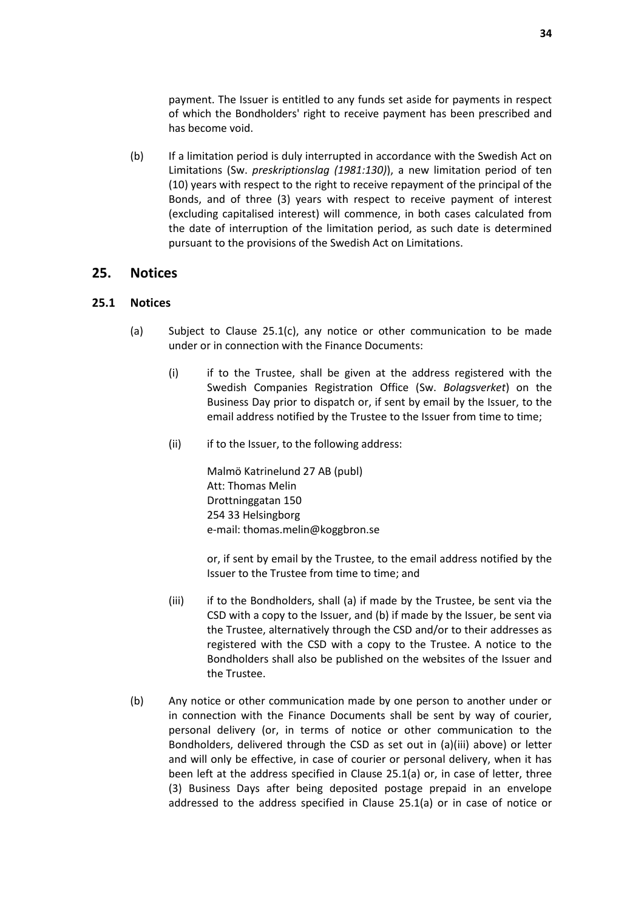payment. The Issuer is entitled to any funds set aside for payments in respect of which the Bondholders' right to receive payment has been prescribed and has become void.

(b) If a limitation period is duly interrupted in accordance with the Swedish Act on Limitations (Sw. *preskriptionslag (1981:130)*), a new limitation period of ten (10) years with respect to the right to receive repayment of the principal of the Bonds, and of three (3) years with respect to receive payment of interest (excluding capitalised interest) will commence, in both cases calculated from the date of interruption of the limitation period, as such date is determined pursuant to the provisions of the Swedish Act on Limitations.

### <span id="page-35-0"></span>**25. Notices**

#### <span id="page-35-2"></span><span id="page-35-1"></span>**25.1 Notices**

- (a) Subject to Clause [25.1\(c\),](#page-35-1) any notice or other communication to be made under or in connection with the Finance Documents:
	- (i) if to the Trustee, shall be given at the address registered with the Swedish Companies Registration Office (Sw. *Bolagsverket*) on the Business Day prior to dispatch or, if sent by email by the Issuer, to the email address notified by the Trustee to the Issuer from time to time;
	- (ii) if to the Issuer, to the following address:

Malmö Katrinelund 27 AB (publ) Att: Thomas Melin Drottninggatan 150 254 33 Helsingborg e-mail: thomas.melin@koggbron.se

or, if sent by email by the Trustee, to the email address notified by the Issuer to the Trustee from time to time; and

- (iii) if to the Bondholders, shall (a) if made by the Trustee, be sent via the CSD with a copy to the Issuer, and (b) if made by the Issuer, be sent via the Trustee, alternatively through the CSD and/or to their addresses as registered with the CSD with a copy to the Trustee. A notice to the Bondholders shall also be published on the websites of the Issuer and the Trustee.
- (b) Any notice or other communication made by one person to another under or in connection with the Finance Documents shall be sent by way of courier, personal delivery (or, in terms of notice or other communication to the Bondholders, delivered through the CSD as set out in (a)(iii) above) or letter and will only be effective, in case of courier or personal delivery, when it has been left at the address specified in Clause [25.1\(a\)](#page-35-2) or, in case of letter, three (3) Business Days after being deposited postage prepaid in an envelope addressed to the address specified in Clause [25.1\(a\)](#page-35-2) or in case of notice or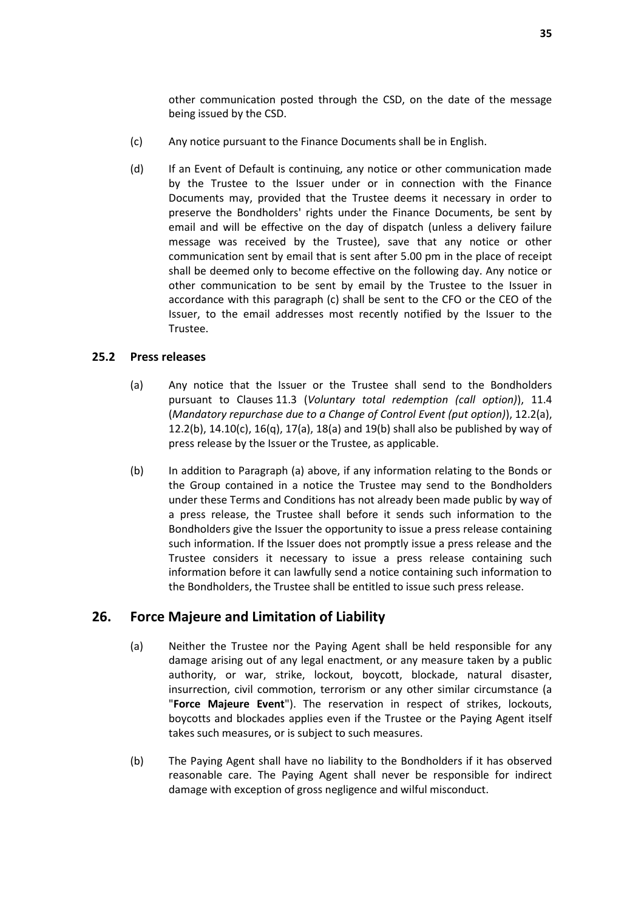other communication posted through the CSD, on the date of the message being issued by the CSD.

- (c) Any notice pursuant to the Finance Documents shall be in English.
- (d) If an Event of Default is continuing, any notice or other communication made by the Trustee to the Issuer under or in connection with the Finance Documents may, provided that the Trustee deems it necessary in order to preserve the Bondholders' rights under the Finance Documents, be sent by email and will be effective on the day of dispatch (unless a delivery failure message was received by the Trustee), save that any notice or other communication sent by email that is sent after 5.00 pm in the place of receipt shall be deemed only to become effective on the following day. Any notice or other communication to be sent by email by the Trustee to the Issuer in accordance with this paragraph (c) shall be sent to the CFO or the CEO of the Issuer, to the email addresses most recently notified by the Issuer to the Trustee.

#### **25.2 Press releases**

- (a) Any notice that the Issuer or the Trustee shall send to the Bondholders pursuant to Clauses [11.3](#page-17-1) (*Voluntary total redemption (call option)*), [11.4](#page-17-3) (*Mandatory repurchase due to a Change of Control Event (put option)*), [12.2\(a\),](#page-18-1) [12.2\(b\),](#page-18-3) [14.10\(c\),](#page-23-3) [16\(q\),](#page-28-5) [17\(a\),](#page-28-2) [18\(a\)](#page-28-3) an[d 19\(b\)](#page-29-5) shall also be published by way of press release by the Issuer or the Trustee, as applicable.
- (b) In addition to Paragraph (a) above, if any information relating to the Bonds or the Group contained in a notice the Trustee may send to the Bondholders under these Terms and Conditions has not already been made public by way of a press release, the Trustee shall before it sends such information to the Bondholders give the Issuer the opportunity to issue a press release containing such information. If the Issuer does not promptly issue a press release and the Trustee considers it necessary to issue a press release containing such information before it can lawfully send a notice containing such information to the Bondholders, the Trustee shall be entitled to issue such press release.

# <span id="page-36-1"></span><span id="page-36-0"></span>**26. Force Majeure and Limitation of Liability**

- (a) Neither the Trustee nor the Paying Agent shall be held responsible for any damage arising out of any legal enactment, or any measure taken by a public authority, or war, strike, lockout, boycott, blockade, natural disaster, insurrection, civil commotion, terrorism or any other similar circumstance (a "**Force Majeure Event**"). The reservation in respect of strikes, lockouts, boycotts and blockades applies even if the Trustee or the Paying Agent itself takes such measures, or is subject to such measures.
- (b) The Paying Agent shall have no liability to the Bondholders if it has observed reasonable care. The Paying Agent shall never be responsible for indirect damage with exception of gross negligence and wilful misconduct.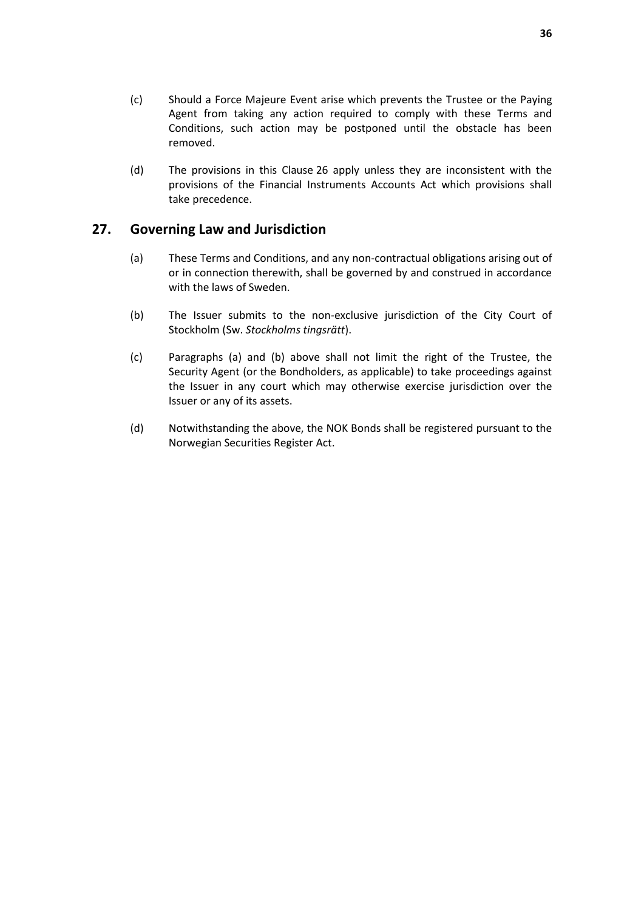- (c) Should a Force Majeure Event arise which prevents the Trustee or the Paying Agent from taking any action required to comply with these Terms and Conditions, such action may be postponed until the obstacle has been removed.
- (d) The provisions in this Clause [26](#page-36-0) apply unless they are inconsistent with the provisions of the Financial Instruments Accounts Act which provisions shall take precedence.

# <span id="page-37-0"></span>**27. Governing Law and Jurisdiction**

- (a) These Terms and Conditions, and any non-contractual obligations arising out of or in connection therewith, shall be governed by and construed in accordance with the laws of Sweden.
- (b) The Issuer submits to the non-exclusive jurisdiction of the City Court of Stockholm (Sw. *Stockholms tingsrätt*).
- (c) Paragraphs (a) and (b) above shall not limit the right of the Trustee, the Security Agent (or the Bondholders, as applicable) to take proceedings against the Issuer in any court which may otherwise exercise jurisdiction over the Issuer or any of its assets.
- (d) Notwithstanding the above, the NOK Bonds shall be registered pursuant to the Norwegian Securities Register Act.